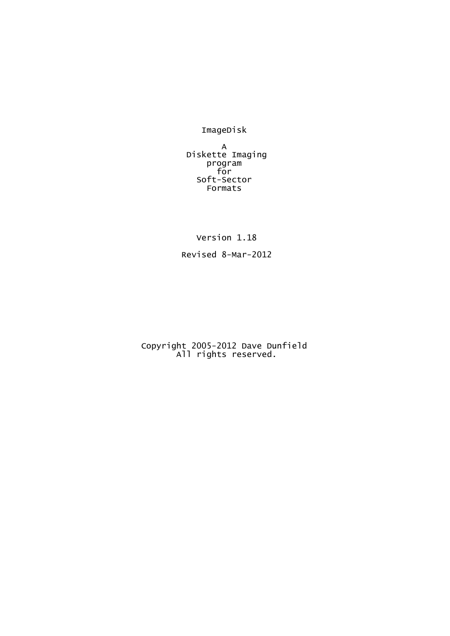ImageDisk

A Diskette Imaging program for Soft-Sector Formats

Version 1.18

Revised 8-Mar-2012

Copyright 2005-2012 Dave Dunfield All rights reserved.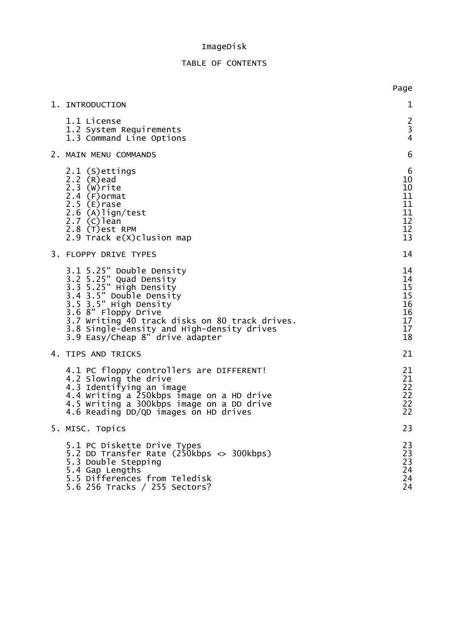#### I m a g e D i s k

#### TABLE OF CONTENTS

|                                                                                                                                                                                                                                                                                            | Page                                               |
|--------------------------------------------------------------------------------------------------------------------------------------------------------------------------------------------------------------------------------------------------------------------------------------------|----------------------------------------------------|
| 1. INTRODUCTION                                                                                                                                                                                                                                                                            | 1                                                  |
| 1.1 License<br>1.2 System Requirements<br>1.3 Command Line Options                                                                                                                                                                                                                         | $\frac{2}{3}$<br>$\overline{\mathbf{4}}$           |
| 2. MAIN MENU COMMANDS                                                                                                                                                                                                                                                                      | 6                                                  |
| 2.1 (S) ettings<br>$2.2(R)$ ead<br>$2.3$ ( $W$ ) rite<br>$2.4$ (F) ormat<br>$2.5$ (E) rase<br>2.6 (A)lign/test<br>$2.7$ (C) lean<br>2.8 (T) est RPM<br>2.9 Track e(X)clusion map                                                                                                           | 6<br>10<br>10<br>11<br>11<br>11<br>12<br>12<br>13  |
| 3. FLOPPY DRIVE TYPES                                                                                                                                                                                                                                                                      | 14                                                 |
| 3.1 5.25" Double Density<br>3.2 5.25" Quad Density<br>3.3 5.25" High Density<br>3.4 3.5" Double Density<br>3.5 3.5" High Density<br>3.6 8" Floppy Drive<br>3.7 Writing 40 track disks on 80 track drives.<br>3.8 Single-density and High-density drives<br>3.9 Easy/Cheap 8" drive adapter | 14<br>14<br>15<br>15<br>16<br>16<br>17<br>17<br>18 |
| 4. TIPS AND TRICKS                                                                                                                                                                                                                                                                         | 21                                                 |
| 4.1 PC floppy controllers are DIFFERENT!<br>4.2 Slowing the drive<br>4.3 Identifying an image<br>4.4 Writing a 250kbps image on a HD drive<br>4.5 Writing a 300kbps image on a DD drive<br>4.6 Reading DD/QD images on HD drives                                                           | 21<br>21<br>22<br>22<br>22<br>22                   |
| 5. MISC. Topics                                                                                                                                                                                                                                                                            | 23                                                 |
| 5.1 PC Diskette Drive Types<br>5.2 DD Transfer Rate $(250kbps \Leftrightarrow 300kbps)$<br>5.3 Double Stepping<br>5.4 Gap Lengths<br>5.5 Differences from Teledisk<br>5.6 256 Tracks / 255 Sectors?                                                                                        | 23<br>23<br>23<br>24<br>24<br>24                   |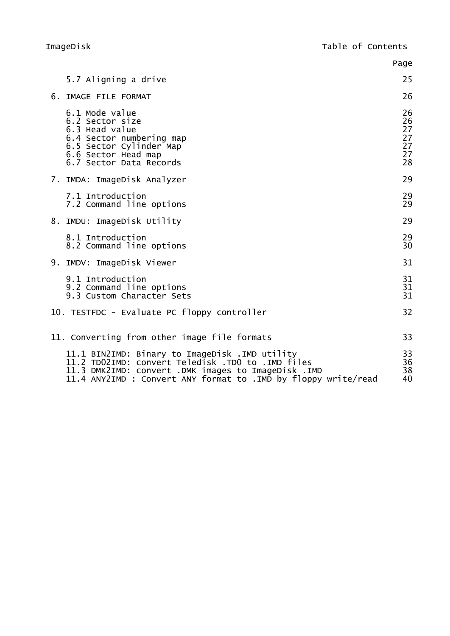|                                                                                                                                                                                                                               | Page                                   |
|-------------------------------------------------------------------------------------------------------------------------------------------------------------------------------------------------------------------------------|----------------------------------------|
| 5.7 Aligning a drive                                                                                                                                                                                                          | 25                                     |
| 6. IMAGE FILE FORMAT                                                                                                                                                                                                          | 26                                     |
| 6.1 Mode value<br>6.2 Sector size<br>6.3 Head value<br>6.4 Sector numbering map<br>6.5 Sector Cylinder Map<br>6.6 Sector Head map<br>6.7 Sector Data Records                                                                  | 26<br>26<br>27<br>27<br>27<br>27<br>28 |
| 7. IMDA: ImageDisk Analyzer                                                                                                                                                                                                   | 29                                     |
| 7.1 Introduction<br>7.2 Command line options                                                                                                                                                                                  | 29<br>29                               |
| 8. IMDU: ImageDisk Utility                                                                                                                                                                                                    | 29                                     |
| 8.1 Introduction<br>8.2 Command line options                                                                                                                                                                                  | 29<br>30                               |
| 9. IMDV: ImageDisk Viewer                                                                                                                                                                                                     | 31                                     |
| 9.1 Introduction<br>9.2 Command line options<br>9.3 Custom Character Sets                                                                                                                                                     | 31<br>31<br>31                         |
| 10. TESTFDC - Evaluate PC floppy controller                                                                                                                                                                                   | 32                                     |
| 11. Converting from other image file formats                                                                                                                                                                                  | 33                                     |
| 11.1 BIN2IMD: Binary to ImageDisk .IMD utility<br>11.2 TD02IMD: convert Teledisk .TD0 to .IMD files<br>11.3 DMK2IMD: convert .DMK images to ImageDisk .IMD<br>11.4 ANY2IMD : Convert ANY format to . IMD by floppy write/read | 33<br>36<br>38<br>40                   |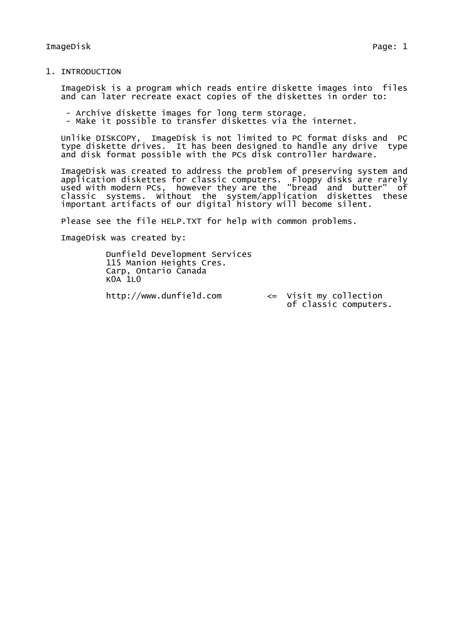### 1. INTRODUCTION

ImageDisk is a program which reads entire diskette images into files and can later recreate exact copies of the diskettes in order to:

- Archive diskette images for long term storage.
- Make it possible to transfer diskettes via the internet.

Unlike DISKCOPY, ImageDisk is not limited to PC format disks and PC type diskette drives. It has been designed to handle any drive type and disk format possible with the PCs disk controller hardware.

ImageDisk was created to address the problem of preserving system and application diskettes for classic computers. Floppy disks are rarely used with modern PCs, however they are the "bread and butter" of classic systems. Without the system/application diskettes these important artifacts of our digital history will become silent.

Please see the file HELP.TXT for help with common problems.

ImageDisk was created by:

Dunfield Development Services 115 Manion Heights Cres. Carp, Ontario Canada  $K<sup>0</sup>A$  1L $<sup>0</sup>$ </sup>

http://www.dunfield.com <= Visit my collection of classic computers.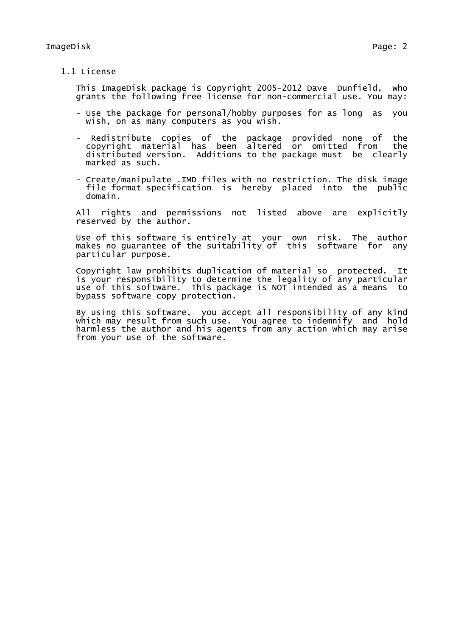## 1.1 License

This ImageDisk package is Copyright 2005-2012 Dave Dunfield, who grants the following free license for non-commercial use. You may:

- Use the package for personal/hobby purposes for as long as you wish, on as many computers as you wish.
- Redistribute copies of the package provided none of the copyright material has been altered or omitted from distributed version. Additions to the package must be clearly marked as such.
- Create/manipulate .IMD files with no restriction. The disk image file format specification is hereby placed into the public domain.

All rights and permissions not listed above are explicitly reserved by the author.

Use of this software is entirely at your own risk. The author makes no guarantee of the suitability of this software for any particular purpose.

Copyright law prohibits duplication of material so protected. It is your responsibility to determine the legality of any particular use of this software. This package is NOT intended as a means to bypass software copy protection.

By using this software, you accept all responsibility of any kind which may result from such use. You agree to indemnify and hold harmless the author and his agents from any action which may arise from your use of the software.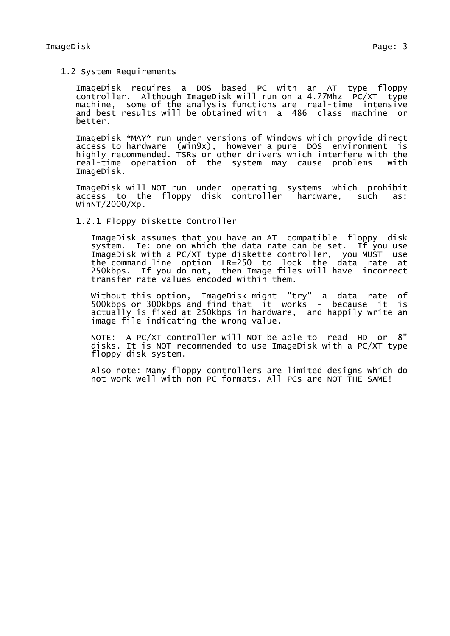1.2 System Requirements

ImageDisk requires a DOS based PC with an AT type floppy  $controller.$  Although ImageDisk will run on a 4.77Mhz  $PC/XT$  type machine, some of the analysis functions are real-time intensive and best results will be obtained with a 486 class machine or better.

ImageDisk \*MAY\* run under versions of Windows which provide direct access to hardware (Win9x), however a pure DOS environment is highly recommended. TSRs or other drivers which interfere with the real-time operation of the system may cause problems with ImageDisk.

ImageDisk will NOT run under operating systems which prohibit access to the floppy disk controller hardware, such as:  $W$ inNT/2000/Xp.

1.2.1 Floppy Diskette Controller

ImageDisk assumes that you have an AT compatible floppy disk system. Ie: one on which the data rate can be set. If you use ImageDisk with a PC/XT type diskette controller, you MUST use the command line option LR=250 to lock the data rate at 250kbps. If you do not, then Image files will have incorrect transfer rate values encoded within them.

Without this option, ImageDisk might "try" a data rate of 500kbps or 300kbps and find that it works - because it is actually is fixed at 250kbps in hardware, and happily write an image file indicating the wrong value.

NOTE: A PC/XT controller will NOT be able to read HD or 8" disks. It is NOT recommended to use ImageDisk with a PC/XT type floppy disk system.

Also note: Many floppy controllers are limited designs which do not work well with non-PC formats. All PCs are NOT THE SAME!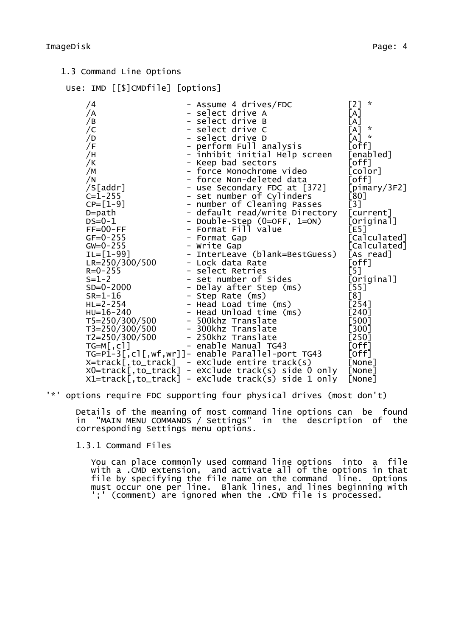# Use: IMD [[\$]CMDfile] [options]

| /4                                   | - Assume 4 drives/FDC                              | [2]<br>$\kappa$                 |
|--------------------------------------|----------------------------------------------------|---------------------------------|
| /A                                   | - select drive A                                   | [A]                             |
| /B                                   | - select drive B                                   | [A]                             |
| $\sqrt{C}$                           | - select drive C                                   | $\mathcal{R}$<br>$\mathsf{[A]}$ |
| /D                                   | - select drive D                                   | $\kappa$<br>$\mathsf{A}$        |
| /F                                   | - perform Full analysis                            | [off]                           |
| /H                                   | - inhibit initial Help screen                      | [enabled]                       |
| /K                                   | - Keep bad sectors                                 | [off]                           |
| /M                                   | - force Monochrome video                           | [color]                         |
| /N                                   | - force Non-deleted data                           | [off]                           |
| /S[addr]                             | - use Secondary FDC at [372]                       | [pimary/3F2]                    |
| $C = 1 - 255$                        | - set number of Cylinders                          | [80]                            |
| $CP = [1-9]$                         | - number of Cleaning Passes                        | [3]                             |
| $D = path$                           | - default read/write Directory                     | [current]                       |
| $DS = 0 - 1$                         | - Double-Step (0=OFF, 1=ON)                        | [Original]                      |
| $FF=00-FF$                           | - Format Fill value                                | [E5]                            |
| $GF = 0 - 255$                       | - Format Gap                                       | [Calculated]                    |
| $GW=0-255$                           | - Write Gap                                        | [Calculated]                    |
| $IL = [1 - 99]$                      | - InterLeave (blank=BestGuess)                     | [As read]                       |
| $LE=250/300/500$<br>$ER=250/300/500$ | - Lock data Rate                                   | [off]                           |
|                                      | - select Retries                                   | [5]                             |
| $S = 1 - 2$                          | - set number of Sides                              | [Original]                      |
| $SD=0-2000$                          | - Delay after Step (ms)                            | [55]                            |
| $SR = 1 - 16$                        | - Step Rate (ms)<br>- Head Load time (ms)          | [8]                             |
| $HL = 2 - 254$                       |                                                    | $[254]$                         |
| $HU = 16 - 240$                      | - Head Unload time (ms)                            | $[240]$                         |
| T5=250/300/500                       | - 500khz Translate                                 | [500]                           |
| T3=250/300/500                       | - 300khz Translate                                 | [300]                           |
| T2=250/300/500                       | - 250khz Translate                                 | $[250]$                         |
| $TG=M[, c]]$                         | - enable Manual TG43                               | [Off]                           |
|                                      | TG=P1-3[,cl[,wf,wr]]- enable Parallel-port TG43    | [off]                           |
|                                      | X=track[,to_track] - eXclude entire track(s)       | [None]                          |
|                                      | XO=track[,to_track] - eXclude track(s) side 0 only | [None]                          |
| X1=track[,to_track]                  | - eXclude track(s) side 1 only                     | [None]                          |

'\*' options require FDC supporting four physical drives (most don't)

Details of the meaning of most command line options can be found in "MAIN MENU COMMANDS / Settings" in the description of the corresponding Settings menu options.

1.3.1 Command Files

You can place commonly used command line options into a file with a .CMD extension, and activate all of the options in that file by specifying the file name on the command line. Options must occur one per line. Blank lines, and lines beginning with ';' (comment) are ignored when the .CMD file is processed.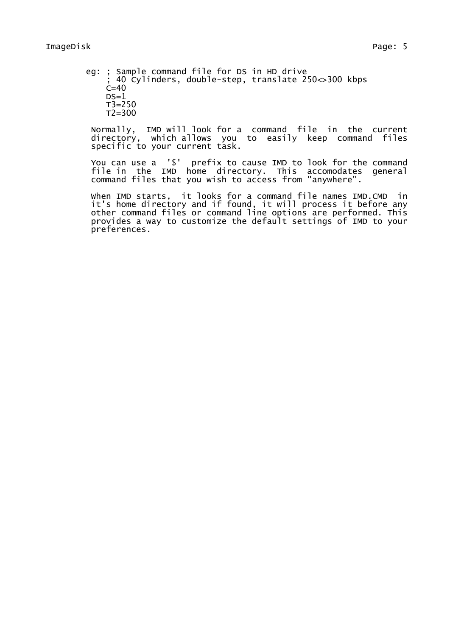eg: ; Sample command file for DS in HD drive ; 40 Cylinders, double-step, translate 250<>300 kbps  $C=40$  $DS=1$  $T3=250$  $T2 = 300$ 

Normally, IMD will look for a command file in the current directory, which allows you to easily keep command files specific to your current task.

You can use a '\$' prefix to cause IMD to look for the command file in the IMD home directory. This accomodates general command files that you wish to access from "anywhere".

When IMD starts, it looks for a command file names IMD.CMD in it's home directory and if found, it will process it before any other command files or command line options are performed. This provides a way to customize the default settings of IMD to your preferences.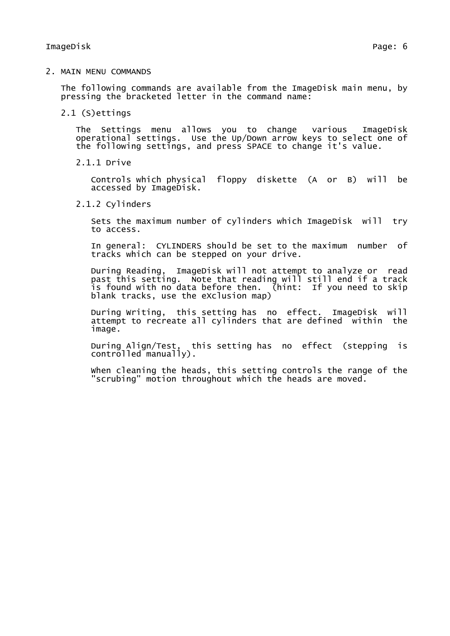2. MAIN MENU COMMANDS

The following commands are available from the ImageDisk main menu, by pressing the bracketed letter in the command name:

2.1 (S)ettings

The Settings menu allows you to change various ImageDisk operational settings. Use the Up/Down arrow keys to select one of the following settings, and press SPACE to change it's value.

2.1.1 Drive

Controls which physical floppy diskette (A or B) will be accessed by ImageDisk.

2.1.2 Cylinders

Sets the maximum number of cylinders which ImageDisk will try to access.

In general: CYLINDERS should be set to the maximum number of tracks which can be stepped on your drive.

During Reading, ImageDisk will not attempt to analyze or read past this setting. Note that reading will still end if a track is found with no data before then. (hint: If you need to skip blank tracks, use the eXclusion map)

During Writing, this setting has no effect. ImageDisk will attempt to recreate all cylinders that are defined within the image.

During Align/Test, this setting has no effect (stepping is controlled manually).

When cleaning the heads, this setting controls the range of the "scrubing" motion throughout which the heads are moved.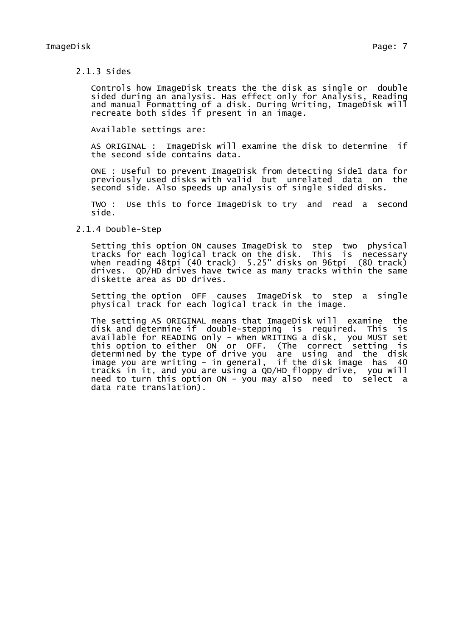### 2.1.3 Sides

Controls how ImageDisk treats the the disk as single or double sided during an analysis. Has effect only for Analysis, Reading and manual Formatting of a disk. During Writing, ImageDisk will recreate both sides if present in an image.

Available settings are:

AS ORIGINAL : ImageDisk will examine the disk to determine if the second side contains data.

ONE : Useful to prevent ImageDisk from detecting Side1 data for previously used disks with valid but unrelated data on the second side. Also speeds up analysis of single sided disks.

TWO : Use this to force ImageDisk to try and read a second side.

### 2.1.4 Double-Step

Setting this option ON causes ImageDisk to step two physical tracks for each logical track on the disk. This is necessary when reading 48tpi (40 track) 5.25" disks on 96tpi (80 track) drives. QD/HD drives have twice as many tracks within the same diskette area as DD drives.

Setting the option OFF causes ImageDisk to step a single physical track for each logical track in the image.

The setting AS ORIGINAL means that ImageDisk will examine the disk and determine if double-stepping is required. This is available for READING only - when WRITING a disk, you MUST set this option to either ON or OFF. (The correct setting is determined by the type of drive you are using and the disk image you are writing - in general, if the disk image has 40 tracks in it, and you are using a QD/HD floppy drive, you will need to turn this option ON - you may also need to select a data rate translation).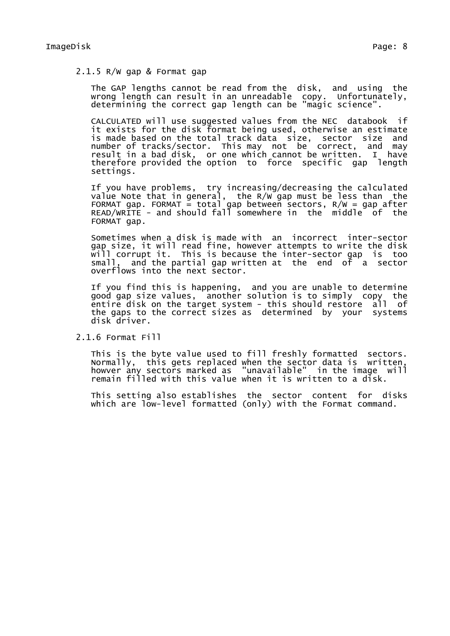### 2.1.5 R/W gap & Format gap

The GAP lengths cannot be read from the disk, and using the wrong length can result in an unreadable copy. Unfortunately, determining the correct gap length can be "magic science".

CALCULATED will use suggested values from the NEC databook if it exists for the disk format being used, otherwise an estimate is made based on the total track data size, sector size and number of tracks/sector. This may not be correct, and may result in a bad disk, or one which cannot be written. I have therefore provided the option to force specific gap length settings.

If you have problems, try increasing/decreasing the calculated value Note that in general, the R/W gap must be less than the FORMAT gap. FORMAT = total gap between sectors,  $R/W = gap$  after READ/WRITE - and should fall somewhere in the middle of the FORMAT gap.

Sometimes when a disk is made with an incorrect inter-sector gap size, it will read fine, however attempts to write the disk will corrupt it. This is because the inter-sector gap is too small, and the partial gap written at the end of a sector overflows into the next sector.

If you find this is happening, and you are unable to determine good gap size values, another solution is to simply copy the entire disk on the target system - this should restore all of the gaps to the correct sizes as determined by your systems disk driver.

2.1.6 Format Fill

This is the byte value used to fill freshly formatted sectors. Normally, this gets replaced when the sector data is written, howver any sectors marked as "unavailable" in the image will remain filled with this value when it is written to a disk.

This setting also establishes the sector content for disks which are low-level formatted (only) with the Format command.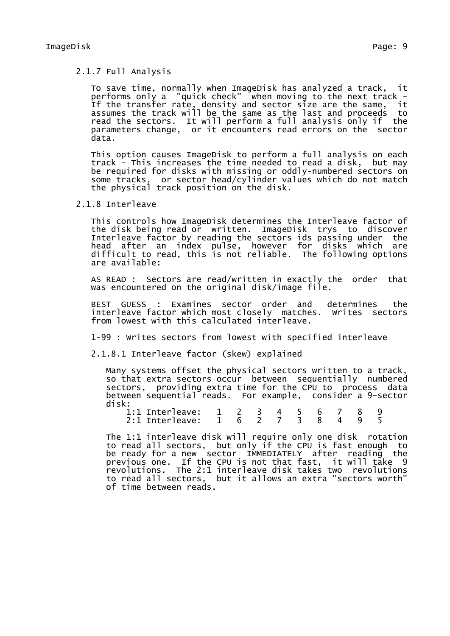# 2.1.7 Full Analysis

To save time, normally when ImageDisk has analyzed a track, it performs only a "quick check" when moving to the next track - If the transfer rate, density and sector size are the same, it assumes the track will be the same as the last and proceeds to read the sectors. It will perform a full analysis only if the parameters change, or it encounters read errors on the sector data.

This option causes ImageDisk to perform a full analysis on each track - This increases the time needed to read a disk, but may be required for disks with missing or oddly-numbered sectors on some tracks, or sector head/cylinder values which do not match the physical track position on the disk.

2.1.8 Interleave

This controls how ImageDisk determines the Interleave factor of the disk being read or written. ImageDisk trys to discover Interleave factor by reading the sectors ids passing under the head after an index pulse, however for disks which are difficult to read, this is not reliable. The following options are available:

AS READ : Sectors are read/written in exactly the order that was encountered on the original disk/image file.

BEST GUESS : Examines sector order and determines the interleave factor which most closely matches. Writes sectors from lowest with this calculated interleave.

1-99 : Writes sectors from lowest with specified interleave

2.1.8.1 Interleave factor (skew) explained

Many systems offset the physical sectors written to a track, so that extra sectors occur between sequentially numbered sectors, providing extra time for the CPU to process data between sequential reads. For example, consider a 9-sector disk:

| 1:1 Interleave: 1 2 3 4 5 6 7 8 9 |  |  |  |  |  |
|-----------------------------------|--|--|--|--|--|
| 2:1 Interleave: 1 6 2 7 3 8 4 9 5 |  |  |  |  |  |

The 1:1 interleave disk will require only one disk rotation to read all sectors, but only if the CPU is fast enough to be ready for a new sector IMMEDIATELY after reading the previous one. If the CPU is not that fast, it will take 9 revolutions. The 2:1 interleave disk takes two revolutions to read all sectors, but it allows an extra "sectors worth" of time between reads.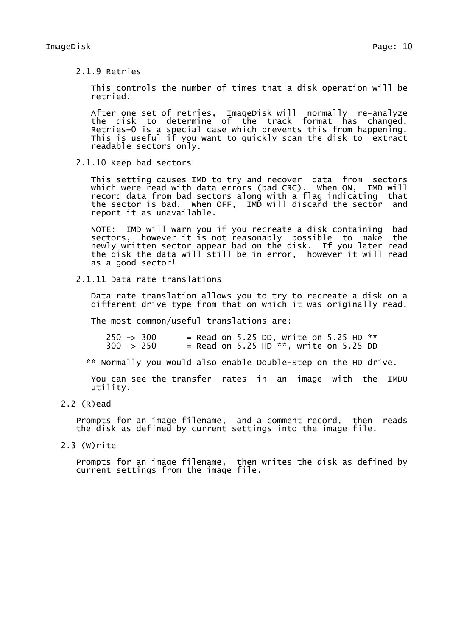2.1.9 Retries

This controls the number of times that a disk operation will be retried.

After one set of retries, ImageDisk will normally re-analyze the disk to determine of the track format has changed. Retries=0 is a special case which prevents this from happening. This is useful if you want to quickly scan the disk to extract readable sectors only.

2.1.10 Keep bad sectors

This setting causes IMD to try and recover data from sectors which were read with data errors (bad CRC). When ON, IMD will record data from bad sectors along with a flag indicating that the sector is bad. When OFF, IMD will discard the sector and report it as unavailable.

NOTE: IMD will warn you if you recreate a disk containing bad sectors, however it is not reasonably possible to make the newly written sector appear bad on the disk. If you later read the disk the data will still be in error, however it will read as a good sector!

2.1.11 Data rate translations

Data rate translation allows you to try to recreate a disk on a different drive type from that on which it was originally read.

The most common/useful translations are:

250 -> 300 = Read on 5.25 DD, write on 5.25 HD \*\*  $=$  Read on 5.25 HD<sup>\*\*</sup>, write on 5.25 DD

\*\* Normally you would also enable Double-Step on the HD drive.

You can see the transfer rates in an image with the IMDU utility.

2.2 (R)ead

Prompts for an image filename, and a comment record, then reads the disk as defined by current settings into the image file.

2.3 (W)rite

Prompts for an image filename, then writes the disk as defined by current settings from the image file.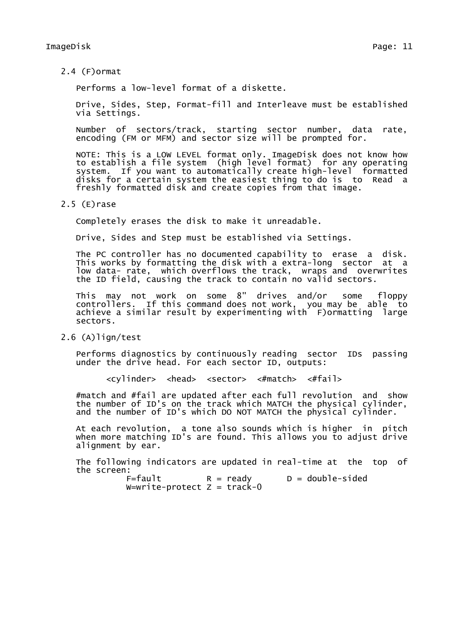2.4 (F)ormat

Performs a low-level format of a diskette.

Drive, Sides, Step, Format-fill and Interleave must be established via Settings.

Number of sectors/track, starting sector number, data rate, encoding (FM or MFM) and sector size will be prompted for.

NOTE: This is a LOW LEVEL format only. ImageDisk does not know how to establish a file system (high level format) for any operating system. If you want to automatically create high-level formatted disks for a certain system the easiest thing to do is to Read a freshly formatted disk and create copies from that image.

2.5 (E)rase

Completely erases the disk to make it unreadable.

Drive, Sides and Step must be established via Settings.

The PC controller has no documented capability to erase a disk. This works by formatting the disk with a extra-long sector at a low data- rate, which overflows the track, wraps and overwrites the ID field, causing the track to contain no valid sectors.

This may not work on some 8" drives and/or some floppy controllers. If this command does not work, you may be able to achieve a similar result by experimenting with F)ormatting large sectors.

2.6 (A)lign/test

Performs diagnostics by continuously reading sector IDs passing under the drive head. For each sector ID, outputs:

<cylinder> <head> <sector> <#match> <#fail>

#match and #fail are updated after each full revolution and show the number of ID's on the track which MATCH the physical cylinder, and the number of ID's which DO NOT MATCH the physical cylinder.

At each revolution, a tone also sounds which is higher in pitch when more matching ID's are found. This allows you to adjust drive alignment by ear.

The following indicators are updated in real-time at the top of the screen:<br> $F=fault$ 

 $R = ready$  D = double-sided  $W=$ write-protect  $Z = \text{track-0}$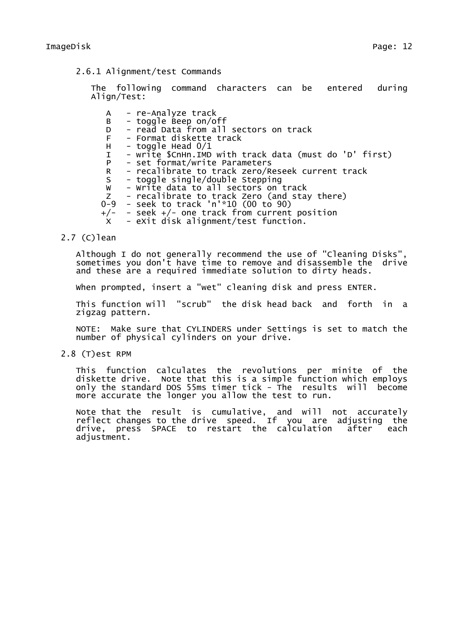2.6.1 Alignment/test Commands

The following command characters can be entered during Align/Test:

A - re-Analyze track B - toggle Beep on/off D - read Data from all sectors on track - Format diskette track  $H -$  toggle Head  $0/1$ I - write \$CnHn.IMD with track data (must do 'D' first) P - set format/write Parameters R – recalibrate to track zero/Reseek current track<br>S – toggle single/double Stepping - toggle single/double Stepping W - Write data to all sectors on track Z - recalibrate to track Zero (and stay there) 0-9 - seek to track 'n'\*10 (00 to 90) +/- - seek +/- one track from current position X - eXit disk alignment/test function.

### 2.7 (C)lean

Although I do not generally recommend the use of "Cleaning Disks", sometimes you don't have time to remove and disassemble the drive and these are a required immediate solution to dirty heads.

When prompted, insert a "wet" cleaning disk and press ENTER.

This function will "scrub" the disk head back and forth in a zigzag pattern.

NOTE: Make sure that CYLINDERS under Settings is set to match the number of physical cylinders on your drive.

2.8 (T)est RPM

This function calculates the revolutions per minite of the diskette drive. Note that this is a simple function which employs only the standard DOS 55ms timer tick - The results will become more accurate the longer you allow the test to run.

Note that the result is cumulative, and will not accurately reflect changes to the drive speed. If you are adjusting the drive, press SPACE to restart the calculation after each adjustment.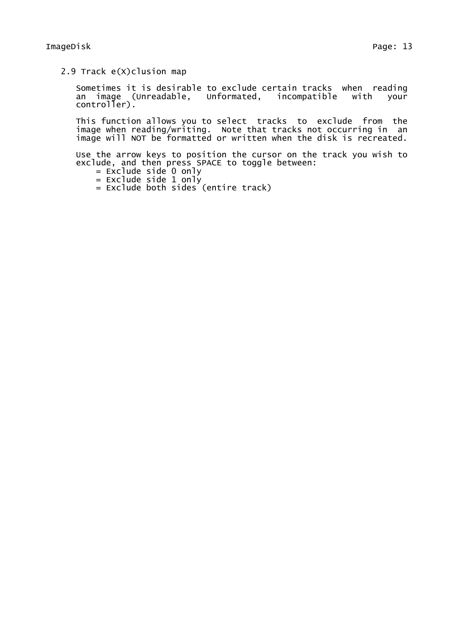2.9 Track e(X)clusion map

Sometimes it is desirable to exclude certain tracks when reading an image (Unreadable, Unformated, incompatible with your controller).

This function allows you to select tracks to exclude from the image when reading/writing. Note that tracks not occurring in an image will NOT be formatted or written when the disk is recreated.

Use the arrow keys to position the cursor on the track you wish to exclude, and then press SPACE to toggle between:

- $=$  Exclude side 0 only
- = Exclude side 1 only
- = Exclude both sides (entire track)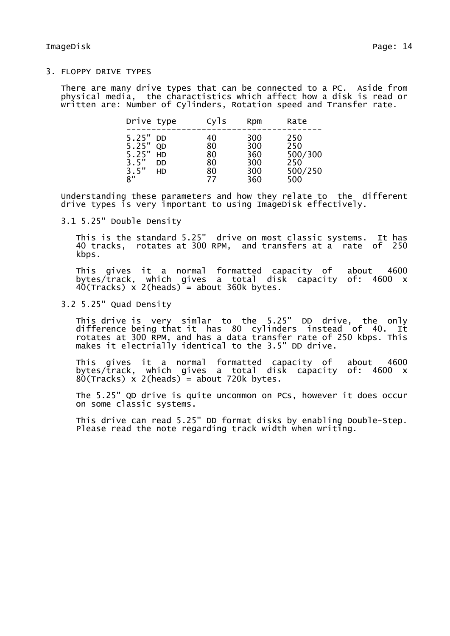3. FLOPPY DRIVE TYPES

There are many drive types that can be connected to a PC. Aside from physical media, the charactistics which affect how a disk is read or written are: Number of Cylinders, Rotation speed and Transfer rate.

| Drive type                                    |                                    | Cyls                             | Rpm                                    | Rate                                           |
|-----------------------------------------------|------------------------------------|----------------------------------|----------------------------------------|------------------------------------------------|
| 5.25"<br>5.25"<br>5.25"<br>3.5"<br>3.5"<br>8" | DD.<br><b>OD</b><br>HD<br>DD<br>HD | 40<br>80<br>80<br>80<br>80<br>77 | 300<br>300<br>360<br>300<br>300<br>360 | 250<br>250<br>500/300<br>250<br>500/250<br>500 |

Understanding these parameters and how they relate to the different drive types is very important to using ImageDisk effectively.

3.1 5.25" Double Density

This is the standard 5.25" drive on most classic systems. It has 40 tracks, rotates at 300 RPM, and transfers at a rate of 250 kbps.

This gives it a normal formatted capacity of about 4600 bytes/track, which gives a total disk capacity of: 4600 x 40(Tracks) x 2(heads) = about 360k bytes.

3.2 5.25" Quad Density

This drive is very simlar to the 5.25" DD drive, the only difference being that it has 80 cylinders instead of 40. It rotates at 300 RPM, and has a data transfer rate of 250 kbps. This makes it electrially identical to the 3.5" DD drive.

This gives it a normal formatted capacity of about 4600 bytes/track, which gives a total disk capacity of: 4600 x  $80$ (Tracks) x 2(heads) = about 720k bytes.

The 5.25" QD drive is quite uncommon on PCs, however it does occur on some classic systems.

This drive can read 5.25" DD format disks by enabling Double-Step. Please read the note regarding track width when writing.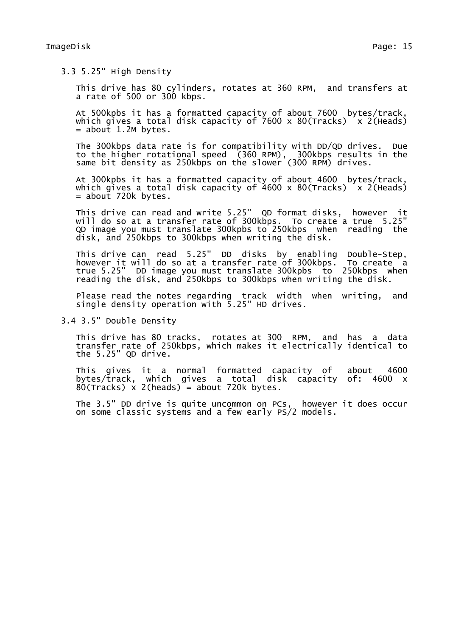3.3 5.25" High Density

This drive has 80 cylinders, rotates at 360 RPM, and transfers at a rate of 500 or 300 kbps.

At 500kpbs it has a formatted capacity of about 7600 bytes/track, which gives a total disk capacity of  $7600 \times 80$  (Tracks)  $\times$  2(Heads)  $=$  about 1.2M bytes.

The 300kbps data rate is for compatibility with DD/QD drives. Due to the higher rotational speed (360 RPM), 300kbps results in the same bit density as 250kbps on the slower (300 RPM) drives.

At 300kpbs it has a formatted capacity of about 4600 bytes/track, which gives a total disk capacity of 4600 x 80(Tracks)  $x$  2(Heads)  $=$  about 720 $k$  bytes.

This drive can read and write 5.25" QD format disks, however it will do so at a transfer rate of 300kbps. To create a true 5.25" QD image you must translate 300kpbs to 250kbps when reading the disk, and 250kbps to 300kbps when writing the disk.

This drive can read 5.25" DD disks by enabling Double-Step, however it will do so at a transfer rate of 300kbps. To create a true 5.25" DD image you must translate 300kpbs to 250kbps when reading the disk, and 250kbps to 300kbps when writing the disk.

Please read the notes regarding track width when writing, and single density operation with 5.25" HD drives.

3.4 3.5" Double Density

This drive has 80 tracks, rotates at 300 RPM, and has a data transfer rate of 250kbps, which makes it electrically identical to the 5.25" QD drive.

This gives it a normal formatted capacity of about 4600 bytes/track, which gives a total disk capacity of: 4600 x  $80$ (Tracks) x 2(heads) = about 720k bytes.

The 3.5" DD drive is quite uncommon on PCs, however it does occur on some classic systems and a few early PS/2 models.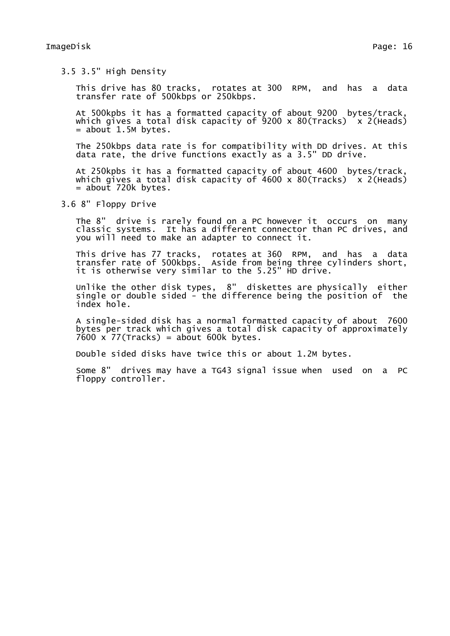3.5 3.5" High Density

This drive has 80 tracks, rotates at 300 RPM, and has a data transfer rate of 500kbps or 250kbps.

At 500kpbs it has a formatted capacity of about 9200 bytes/track, which gives a total disk capacity of  $9200 \times 80$  (Tracks)  $\times$  2 (Heads)  $=$  about 1.5M bytes.

The 250kbps data rate is for compatibility with DD drives. At this data rate, the drive functions exactly as a 3.5" DD drive.

At 250kpbs it has a formatted capacity of about 4600 bytes/track, which gives a total disk capacity of 4600 x 80(Tracks)  $x$  2(Heads) = about 720k bytes.

3.6 8" Floppy Drive

The 8" drive is rarely found on a PC however it occurs on many classic systems. It has a different connector than PC drives, and you will need to make an adapter to connect it.

This drive has 77 tracks, rotates at 360 RPM, and has a data transfer rate of 500kbps. Aside from being three cylinders short, it is otherwise very similar to the 5.25" HD drive.

Unlike the other disk types, 8" diskettes are physically either single or double sided - the difference being the position of the index hole.

A single-sided disk has a normal formatted capacity of about 7600 bytes per track which gives a total disk capacity of approximately  $7600 \times 77$ (Tracks) = about 600k bytes.

Double sided disks have twice this or about 1.2M bytes.

Some 8" drives may have a TG43 signal issue when used on a PC floppy controller.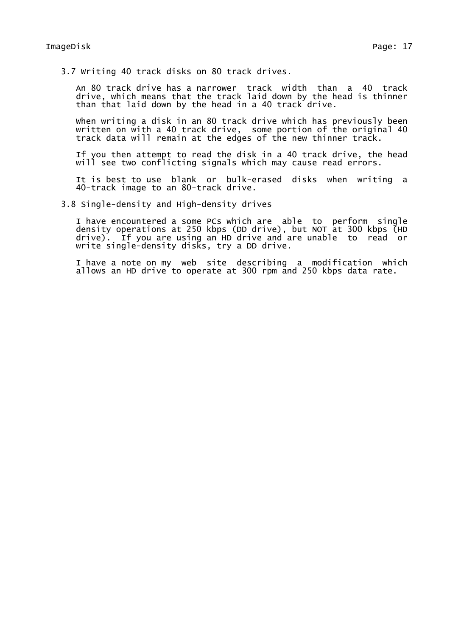3.7 Writing 40 track disks on 80 track drives.

An 80 track drive has a narrower track width than a 40 track drive, which means that the track laid down by the head is thinner than that laid down by the head in a 40 track drive.

When writing a disk in an 80 track drive which has previously been written on with a 40 track drive, some portion of the original 40 track data will remain at the edges of the new thinner track.

If you then attempt to read the disk in a 40 track drive, the head will see two conflicting signals which may cause read errors.

It is best to use blank or bulk-erased disks when writing a 40-track image to an 80-track drive.

3.8 Single-density and High-density drives

I have encountered a some PCs which are able to perform single density operations at 250 kbps (DD drive), but NOT at 300 kbps (HD drive). If you are using an HD drive and are unable to read or write single-density disks, try a DD drive.

I have a note on my web site describing a modification which allows an HD drive to operate at 300 rpm and 250 kbps data rate.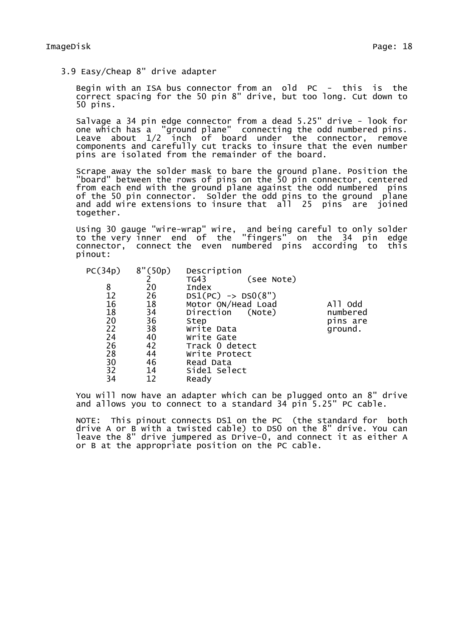3.9 Easy/Cheap 8" drive adapter

Begin with an ISA bus connector from an old PC - this is the correct spacing for the 50 pin 8" drive, but too long. Cut down to 50 pins.

Salvage a 34 pin edge connector from a dead 5.25" drive - look for one which has a "ground plane" connecting the odd numbered pins. Leave about 1/2 inch of board under the connector, remove components and carefully cut tracks to insure that the even number pins are isolated from the remainder of the board.

Scrape away the solder mask to bare the ground plane. Position the "board" between the rows of pins on the 50 pin connector, centered from each end with the ground plane against the odd numbered pins of the 50 pin connector. Solder the odd pins to the ground plane and add wire extensions to insure that all 25 pins are joined together.

Using 30 gauge "wire-wrap" wire, and being careful to only solder to the very inner end of the "fingers" on the 34 pin edge connector, connect the even numbered pins according to this pinout:

| (see Note)                    |
|-------------------------------|
|                               |
| $DS1(PC)$ -> $DS0(8")$        |
| Motor ON/Head Load<br>All odd |
| numbered<br>Direction (Note)  |
| pins are                      |
| ground.                       |
|                               |
| Track 0 detect                |
| Write Protect                 |
|                               |
|                               |
|                               |
|                               |

You will now have an adapter which can be plugged onto an 8" drive and allows you to connect to a standard 34 pin 5.25" PC cable.

NOTE: This pinout connects DS1 on the PC (the standard for both drive A or B with a twisted cable) to DS0 on the 8" drive. You can leave the 8" drive jumpered as Drive-0, and connect it as either A or B at the appropriate position on the PC cable.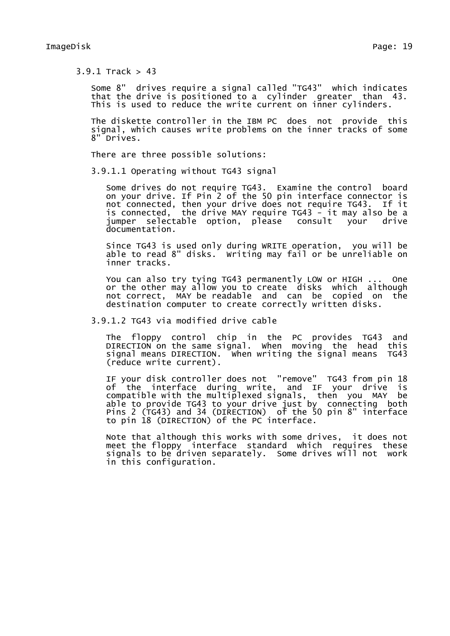3.9.1 Track > 43

Some 8" drives require a signal called "TG43" which indicates that the drive is positioned to a cylinder greater than 43. This is used to reduce the write current on inner cylinders.

The diskette controller in the IBM PC does not provide this signal, which causes write problems on the inner tracks of some 8" Drives.

There are three possible solutions:

3.9.1.1 Operating without TG43 signal

Some drives do not require TG43. Examine the control board on your drive. If Pin 2 of the 50 pin interface connector is not connected, then your drive does not require TG43. If it is connected, the drive MAY require TG43 - it may also be a jumper selectable option, please consult your drive documentation.

Since TG43 is used only during WRITE operation, you will be able to read 8" disks. Writing may fail or be unreliable on inner tracks.

You can also try tying TG43 permanently LOW or HIGH ... One or the other may allow you to create disks which although not correct, MAY be readable and can be copied on the destination computer to create correctly written disks.

3.9.1.2 TG43 via modified drive cable

The floppy control chip in the PC provides TG43 and DIRECTION on the same signal. When moving the head this signal means DIRECTION. When writing the signal means TG43 (reduce write current).

IF your disk controller does not "remove" TG43 from pin 18 of the interface during write, and IF your drive is compatible with the multiplexed signals, then you MAY be able to provide TG43 to your drive just by connecting both Pins 2 (TG43) and 34 (DIRECTION) of the 50 pin 8" interface to pin 18 (DIRECTION) of the PC interface.

Note that although this works with some drives, it does not meet the floppy interface standard which requires these signals to be driven separately. Some drives will not work in this configuration.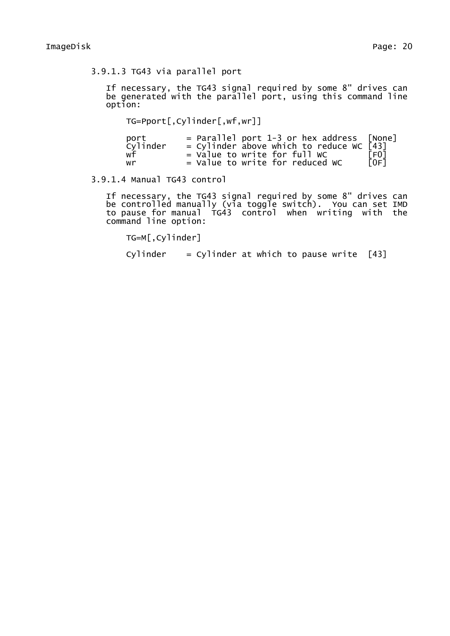3.9.1.3 TG43 via parallel port

If necessary, the TG43 signal required by some 8" drives can be generated with the parallel port, using this command line option:

TG=Pport[,Cylinder[,wf,wr]]

| port     | $=$ Parallel port 1-3 or hex address [None] |                 |
|----------|---------------------------------------------|-----------------|
| Cylinder | = Cylinder above which to reduce WC $[43]$  |                 |
| wf       | $=$ Value to write for full WC              | F <sub>01</sub> |
| wr       | = Value to write for reduced WC             | IOF1            |

# 3.9.1.4 Manual TG43 control

If necessary, the TG43 signal required by some 8" drives can be controlled manually (via toggle switch). You can set IMD to pause for manual TG43 control when writing with the command line option:

TG=M[,Cylinder]

Cylinder  $=$  Cylinder at which to pause write  $[43]$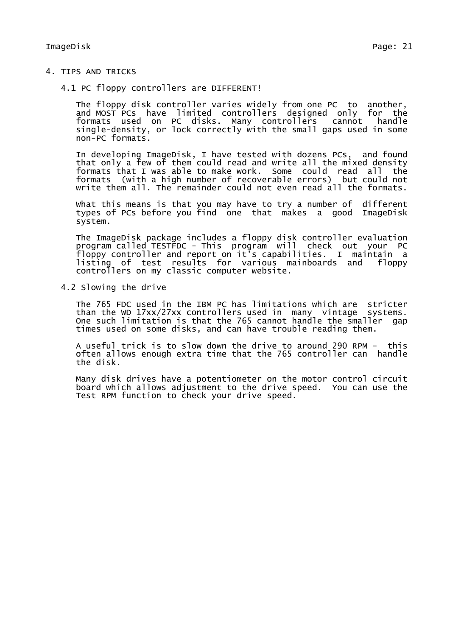- 4. TIPS AND TRICKS
	- 4.1 PC floppy controllers are DIFFERENT!

The floppy disk controller varies widely from one PC to another, and MOST PCs have limited controllers designed only for the formats used on PC disks. Many controllers cannot handle single-density, or lock correctly with the small gaps used in some non-PC formats.

In developing ImageDisk, I have tested with dozens PCs, and found that only a few of them could read and write all the mixed density formats that I was able to make work. Some could read all the formats (with a high number of recoverable errors) but could not write them all. The remainder could not even read all the formats.

What this means is that you may have to try a number of different types of PCs before you find one that makes a good ImageDisk system.

The ImageDisk package includes a floppy disk controller evaluation program called TESTFDC - This program will check out your PC floppy controller and report on it's capabilities. I maintain a listing of test results for various mainboards and floppy controllers on my classic computer website.

4.2 Slowing the drive

The 765 FDC used in the IBM PC has limitations which are stricter than the WD 17xx/27xx controllers used in many vintage systems. One such limitation is that the 765 cannot handle the smaller gap times used on some disks, and can have trouble reading them.

A useful trick is to slow down the drive to around 290 RPM - this often allows enough extra time that the 765 controller can handle the disk.

Many disk drives have a potentiometer on the motor control circuit board which allows adjustment to the drive speed. You can use the Test RPM function to check your drive speed.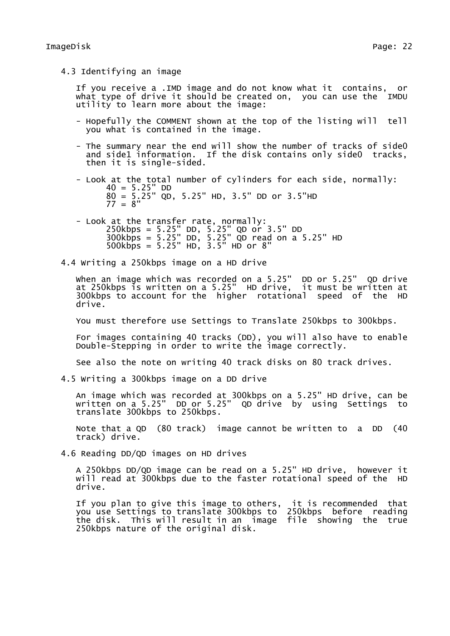4.3 Identifying an image

If you receive a .IMD image and do not know what it contains, or what type of drive it should be created on, you can use the IMDU utility to learn more about the image:

- Hopefully the COMMENT shown at the top of the listing will tell you what is contained in the image.
- The summary near the end will show the number of tracks of side0 and side1 information. If the disk contains only side0 tracks, then it is single-sided.
- Look at the total number of cylinders for each side, normally:  $40 = 5.25" DD$ 80 = 5.25" QD, 5.25" HD, 3.5" DD or 3.5"HD  $77 = 8"$
- Look at the transfer rate, normally: 250kbps = 5.25" DD, 5.25" QD or 3.5" DD 300kbps = 5.25" DD, 5.25" QD read on a 5.25" HD 500kbps = 5.25" HD, 3.5" HD or 8"
- 4.4 Writing a 250kbps image on a HD drive

When an image which was recorded on a 5.25" DD or 5.25" QD drive at 250kbps is written on a 5.25" HD drive, it must be written at 300kbps to account for the higher rotational speed of the HD drive.

You must therefore use Settings to Translate 250kbps to 300kbps.

For images containing 40 tracks (DD), you will also have to enable Double-Stepping in order to write the image correctly.

See also the note on writing 40 track disks on 80 track drives.

4.5 Writing a 300kbps image on a DD drive

An image which was recorded at 300kbps on a 5.25" HD drive, can be written on a 5.25" DD or 5.25" QD drive by using Settings to translate 300kbps to 250kbps.

Note that a QD (80 track) image cannot be written to a DD (40 track) drive.

4.6 Reading DD/QD images on HD drives

A 250kbps DD/QD image can be read on a 5.25" HD drive, however it will read at 300kbps due to the faster rotational speed of the HD drive.

If you plan to give this image to others, it is recommended that you use Settings to translate 300kbps to 250kbps before reading the disk. This will result in an image file showing the true 250kbps nature of the original disk.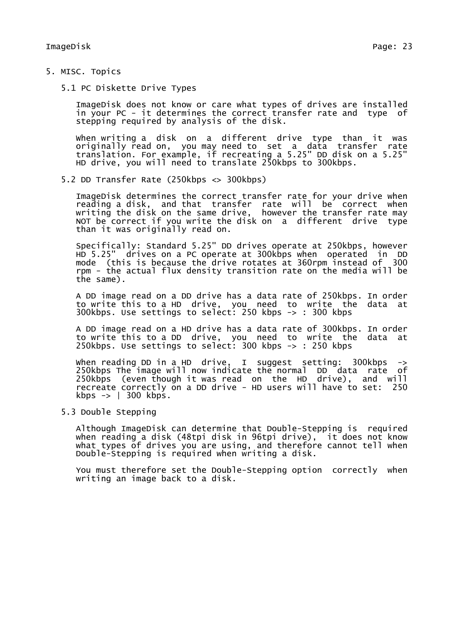- 5. MISC. Topics
	- 5.1 PC Diskette Drive Types

ImageDisk does not know or care what types of drives are installed in your PC - it determines the correct transfer rate and type of stepping required by analysis of the disk.

When writing a disk on a different drive type than it was originally read on, you may need to set a data transfer rate translation. For example, if recreating a 5.25" DD disk on a 5.25" HD drive, you will need to translate 250kbps to 300kbps.

5.2 DD Transfer Rate (250kbps <> 300kbps)

ImageDisk determines the correct transfer rate for your drive when reading a disk, and that transfer rate will be correct when writing the disk on the same drive, however the transfer rate may NOT be correct if you write the disk on a different drive type than it was originally read on.

Specifically: Standard 5.25" DD drives operate at 250kbps, however HD 5.25" drives on a PC operate at 300kbps when operated in DD mode (this is because the drive rotates at 360rpm instead of 300 rpm - the actual flux density transition rate on the media will be the same).

A DD image read on a DD drive has a data rate of 250kbps. In order to write this to a HD drive, you need to write the data at 300kbps. Use settings to select: 250 kbps -> : 300 kbps

A DD image read on a HD drive has a data rate of 300kbps. In order to write this to a DD drive, you need to write the data at 250kbps. Use settings to select: 300 kbps -> : 250 kbps

When reading DD in a HD drive, I suggest setting: 300kbps -> 250kbps The image will now indicate the normal DD data rate of 250kbps (even though it was read on the HD drive), and will recreate correctly on a DD drive - HD users will have to set: 250 kbps  $\rightarrow$  | 300 kbps.

5.3 Double Stepping

Although ImageDisk can determine that Double-Stepping is required when reading a disk (48tpi disk in 96tpi drive), it does not know what types of drives you are using, and therefore cannot tell when Double-Stepping is required when writing a disk.

You must therefore set the Double-Stepping option correctly when writing an image back to a disk.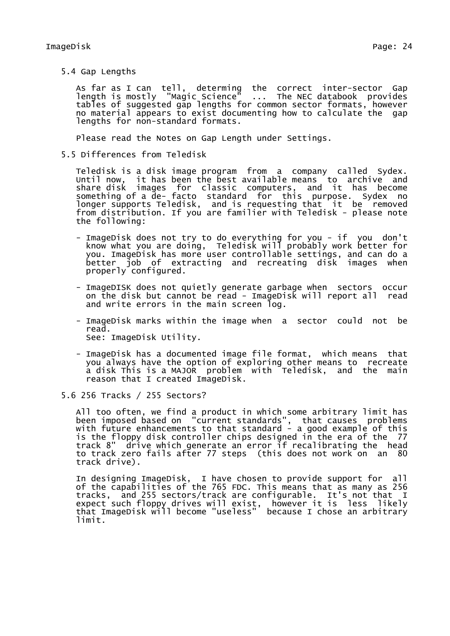5.4 Gap Lengths

As far as I can tell, determing the correct inter-sector Gap<br>length is mostly "Magic Science" ... The NEC databook provides length is mostly "Magic Science" tables of suggested gap lengths for common sector formats, however no material appears to exist documenting how to calculate the gap lengths for non-standard formats.

Please read the Notes on Gap Length under Settings.

5.5 Differences from Teledisk

Teledisk is a disk image program from a company called Sydex. Until now, it has been the best available means to archive and share disk images for classic computers, and it has become something of a de- facto standard for this purpose. Sydex no longer supports Teledisk, and is requesting that it be removed from distribution. If you are familier with Teledisk - please note the following:

- ImageDisk does not try to do everything for you if you don't know what you are doing, Teledisk will probably work better for you. ImageDisk has more user controllable settings, and can do a better job of extracting and recreating disk images when properly configured.
- ImageDISK does not quietly generate garbage when sectors occur on the disk but cannot be read - ImageDisk will report all read and write errors in the main screen log.
- ImageDisk marks within the image when a sector could not be read. See: ImageDisk Utility.
- ImageDisk has a documented image file format, which means that you always have the option of exploring other means to recreate a disk This is a MAJOR problem with Teledisk, and the main reason that I created ImageDisk.
- 5.6 256 Tracks / 255 Sectors?

All too often, we find a product in which some arbitrary limit has been imposed based on "current standards", that causes problems with future enhancements to that standard - a good example of this is the floppy disk controller chips designed in the era of the 77 track 8" drive which generate an error if recalibrating the head to track zero fails after 77 steps (this does not work on an 80 track drive).

In designing ImageDisk, I have chosen to provide support for all of the capabilities of the 765 FDC. This means that as many as 256 tracks, and 255 sectors/track are configurable. It's not that I expect such floppy drives will exist, however it is less likely that ImageDisk will become "useless" because I chose an arbitrary limit.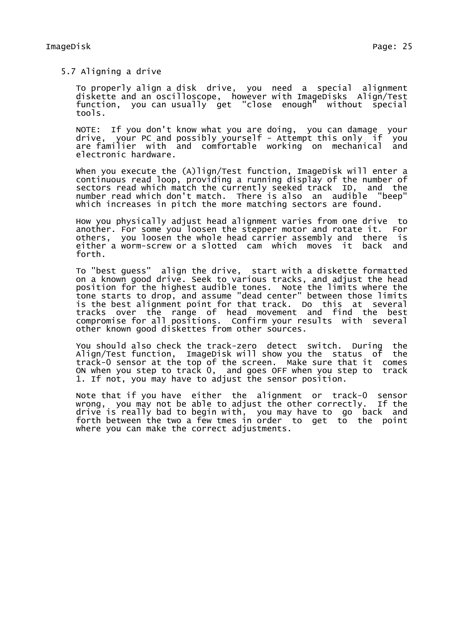5.7 Aligning a drive

To properly align a disk drive, you need a special alignment diskette and an oscilloscope, however with ImageDisks Align/Test function, you can usually get "close enough" without special tools.

NOTE: If you don't know what you are doing, you can damage your drive, your PC and possibly yourself - Attempt this only if you are familier with and comfortable working on mechanical and electronic hardware.

when you execute the (A)lign/Test function, ImageDisk will enter a continuous read loop, providing a running display of the number of sectors read which match the currently seeked track ID, and the number read which don't match. There is also an audible "beep" which increases in pitch the more matching sectors are found.

How you physically adjust head alignment varies from one drive to another. For some you loosen the stepper motor and rotate it. For others, you loosen the whole head carrier assembly and there is either a worm-screw or a slotted cam which moves it back and forth.

To "best guess" align the drive, start with a diskette formatted on a known good drive. Seek to various tracks, and adjust the head position for the highest audible tones. Note the limits where the tone starts to drop, and assume "dead center" between those limits is the best alignment point for that track. Do this at several tracks over the range of head movement and find the best compromise for all positions. Confirm your results with several other known good diskettes from other sources.

You should also check the track-zero detect switch. During the Alian/Test function. ImageDisk will show you the status of the Align/Test function, ImageDisk will show you the status of track-0 sensor at the top of the screen. Make sure that it comes ON when you step to track 0, and goes OFF when you step to track 1. If not, you may have to adjust the sensor position.

Note that if you have either the alignment or track-0 sensor wrong, you may not be able to adjust the other correctly. If the drive is really bad to begin with, you may have to go back and forth between the two a few tmes in order to get to the point where you can make the correct adjustments.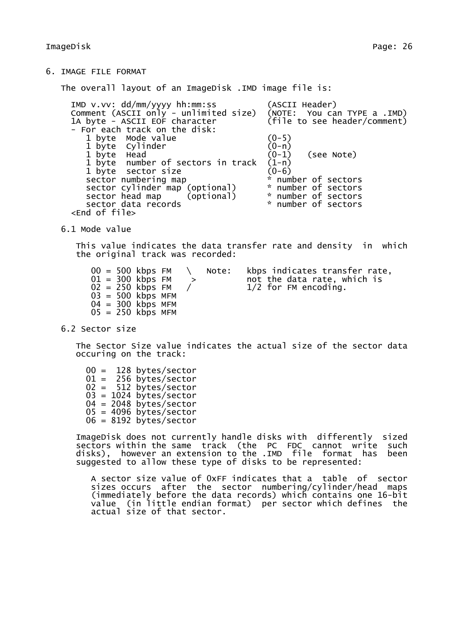The overall layout of an ImageDisk .IMD image file is:

| $IMD$ v.vv: $dd/mm/yyyy$ hh:mm:ss                                                                                               | (ASCII Header)        |
|---------------------------------------------------------------------------------------------------------------------------------|-----------------------|
|                                                                                                                                 |                       |
| Comment (ASCII only - unlimited size) (NOTE: You can TYPE a .IMD)<br>1A byte - ASCII EOF character (file to see header/comment) |                       |
| - For each track on the disk:                                                                                                   |                       |
| 1 byte Mode value                                                                                                               | $(0-5)$               |
| 1 byte Cylinder                                                                                                                 | $(0-n)$               |
| 1 byte Head                                                                                                                     | $(0-1)$ (see Note)    |
| 1 byte number of sectors in track                                                                                               | $(1 - n)$             |
| 1 byte sector size                                                                                                              | $(0-6)$               |
| sector numbering map                                                                                                            | * number of sectors   |
| sector cylinder map (optional)                                                                                                  | * number of sectors   |
| sector head map (optional)                                                                                                      | $*$ number of sectors |
| sector data records                                                                                                             | * number of sectors   |
| <end file="" of=""></end>                                                                                                       |                       |
|                                                                                                                                 |                       |

6.1 Mode value

This value indicates the data transfer rate and density in which the original track was recorded:

 $01 = 300$  kbps FM  $>$  not the data rate, which is  $02 = 250$  kbps FM  $/$   $1/2$  for FM encoding.  $03 = 500$  kbps MFM  $04 = 300$  kbps MFM  $05 = 250$  kbps MFM

 $00 = 500$  kbps FM  $\setminus$  Note: kbps indicates transfer rate,<br> $01 = 300$  kbps FM  $\rightarrow$  not the data rate, which is  $1/2$  for FM encoding.

6.2 Sector size

The Sector Size value indicates the actual size of the sector data occuring on the track:

00 = 128 bytes/sector  $01 = 256$  bytes/sector 02 = 512 bytes/sector  $03 = 1024$  bytes/sector  $04 = 2048$  bytes/sector  $05 = 4096$  bytes/sector 06 = 8192 bytes/sector

ImageDisk does not currently handle disks with differently sized sectors within the same track (the PC FDC cannot write such disks), however an extension to the .IMD file format has been suggested to allow these type of disks to be represented:

A sector size value of 0xFF indicates that a table of sector sizes occurs after the sector numbering/cylinder/head maps (immediately before the data records) which contains one 16-bit value (in little endian format) per sector which defines the actual size of that sector.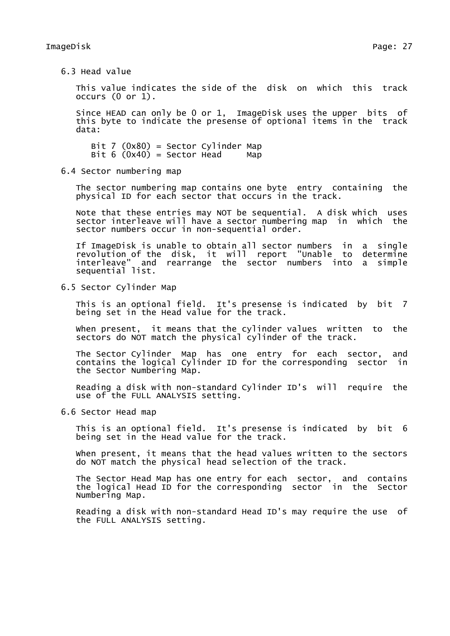6.3 Head value

This value indicates the side of the disk on which this track occurs (0 or 1).

Since HEAD can only be 0 or 1, ImageDisk uses the upper bits of this byte to indicate the presense of optional items in the track data:

Bit 7 (0x80) = Sector Cylinder Map Bit  $6 (0x40) =$  Sector Head Map

6.4 Sector numbering map

The sector numbering map contains one byte entry containing the physical ID for each sector that occurs in the track.

Note that these entries may NOT be sequential. A disk which uses sector interleave will have a sector numbering map in which the sector numbers occur in non-sequential order.

If ImageDisk is unable to obtain all sector numbers in a single revolution of the disk, it will report "Unable to determine interleave" and rearrange the sector numbers into a simple sequential list.

6.5 Sector Cylinder Map

This is an optional field. It's presense is indicated by bit 7 being set in the Head value for the track.

When present, it means that the cylinder values written to the sectors do NOT match the physical cylinder of the track.

The Sector Cylinder Map has one entry for each sector, and contains the logical Cylinder ID for the corresponding sector in the Sector Numbering Map.

Reading a disk with non-standard Cylinder ID's will require the use of the FULL ANALYSIS setting.

6.6 Sector Head map

This is an optional field. It's presense is indicated by bit 6 being set in the Head value for the track.

When present, it means that the head values written to the sectors do NOT match the physical head selection of the track.

The Sector Head Map has one entry for each sector, and contains the logical Head ID for the corresponding sector in the Sector Numbering Map.

Reading a disk with non-standard Head ID's may require the use of the FULL ANALYSIS setting.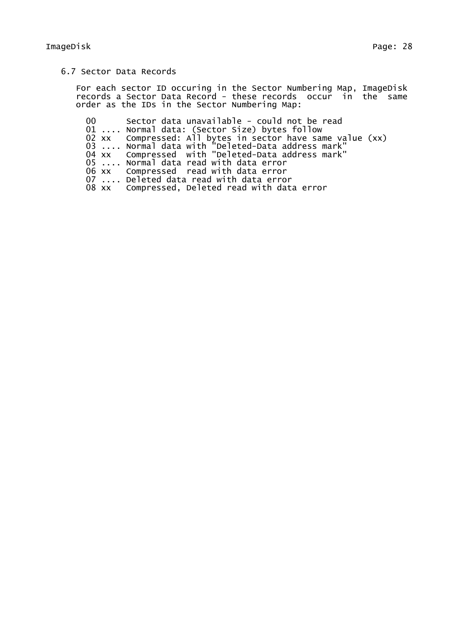# 6.7 Sector Data Records

For each sector ID occuring in the Sector Numbering Map, ImageDisk records a Sector Data Record - these records occur in the same order as the IDs in the Sector Numbering Map:

 Sector data unavailable - could not be read .... Normal data: (Sector Size) bytes follow xx Compressed: All bytes in sector have same value (xx) .... Normal data with "Deleted-Data address mark" xx Compressed with "Deleted-Data address mark" .... Normal data read with data error xx Compressed read with data error .... Deleted data read with data error xx Compressed, Deleted read with data error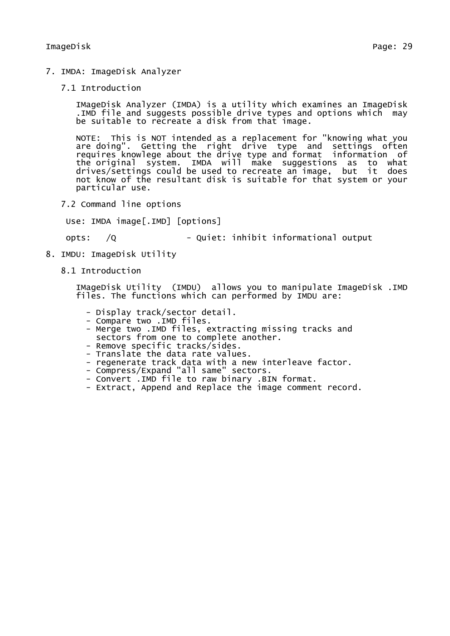- 7. IMDA: ImageDisk Analyzer
	- 7.1 Introduction

IMageDisk Analyzer (IMDA) is a utility which examines an ImageDisk .IMD file and suggests possible drive types and options which may be suitable to recreate a disk from that image.

NOTE: This is NOT intended as a replacement for "knowing what you are doing". Getting the right drive type and settings often requires knowlege about the drive type and format information of the original system. IMDA will make suggestions as to what drives/settings could be used to recreate an image, but it does not know of the resultant disk is suitable for that system or your particular use.

7.2 Command line options

Use: IMDA image[.IMD] [options]

opts: /Q - Quiet: inhibit informational output

- 8. IMDU: ImageDisk Utility
	- 8.1 Introduction

IMageDisk Utility (IMDU) allows you to manipulate ImageDisk .IMD files. The functions which can performed by IMDU are:

- Display track/sector detail.
- Compare two .IMD files.
- Merge two .IMD files, extracting missing tracks and sectors from one to complete another.
- Remove specific tracks/sides.
- Translate the data rate values.
- regenerate track data with a new interleave factor.
- Compress/Expand "all same" sectors.
- Convert .IMD file to raw binary .BIN format.
- Extract, Append and Replace the image comment record.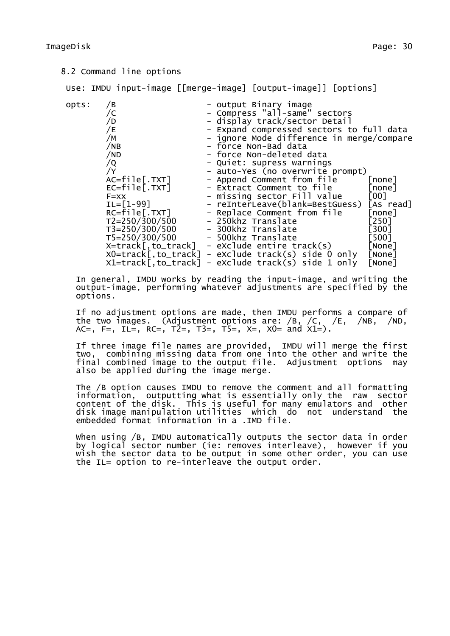## 8.2 Command line options

Use: IMDU input-image [[merge-image] [output-image]] [options]

| opts: | ΄B                               | - output Binary image                     |                    |
|-------|----------------------------------|-------------------------------------------|--------------------|
|       |                                  | - Compress "all-same" sectors             |                    |
|       | ′D                               | - display track/sector Detail             |                    |
|       | /E                               | - Expand compressed sectors to full data  |                    |
|       | /M                               | - ignore Mode difference in merge/compare |                    |
|       | /NB                              | - force Non-Bad data                      |                    |
|       | /ND                              | - force Non-deleted data                  |                    |
|       | /Q                               | - Quiet: supress warnings                 |                    |
|       | /Y                               | - auto-Yes (no overwrite prompt)          |                    |
|       | AC=file[.TXT]                    | - Append Comment from file                | [none]             |
|       | EC=file[.TXT]                    | - Extract Comment to file                 | [none]             |
|       | $F = XX$                         | - missing sector Fill value               | [00]               |
|       | $IL = [1 - 99]$                  | - reInterLeave(blank=BestGuess)           | [As read]          |
|       | $RC = file[ . TXT]$              | - Replace Comment from file               | [none]             |
|       | $T2 = 250/300/500$               | - 250khz Translate                        | [250]              |
|       | T3=250/300/500                   | - 300khz Translate                        | $\left[300\right]$ |
|       | T5=250/300/500                   | - 500khz Translate                        | [500]              |
|       | X=track[,to_track]               | - eXclude entire track(s)                 | [None]             |
|       | $X0 = \text{track}$ [, to_track] | - eXclude track(s) side 0 only            | [None]             |
|       | $x1 = \text{track}$ , to_track]  | - eXclude track(s) side 1 only            | [None]             |

In general, IMDU works by reading the input-image, and writing the output-image, performing whatever adjustments are specified by the options.

If no adjustment options are made, then IMDU performs a compare of the two images. (Adjustment options are: /B, /C, /E, /NB, /ND, AC=, F=, IL=, RC=,  $T2=$ ,  $T3=$ ,  $T5=$ ,  $x=$ ,  $x0=$  and  $x1=$ ).

If three image file names are provided, IMDU will merge the first two, combining missing data from one into the other and write the final combined image to the output file. Adjustment options may also be applied during the image merge.

The /B option causes IMDU to remove the comment and all formatting information, outputting what is essentially only the raw sector content of the disk. This is useful for many emulators and other disk image manipulation utilities which do not understand the embedded format information in a .IMD file.

When using /B, IMDU automatically outputs the sector data in order by logical sector number (ie: removes interleave), however if you wish the sector data to be output in some other order, you can use the IL= option to re-interleave the output order.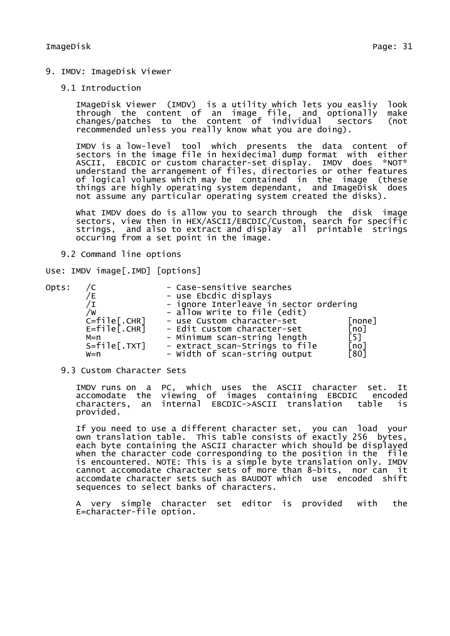9. IMDV: ImageDisk Viewer

### 9.1 Introduction

IMageDisk Viewer (IMDV) is a utility which lets you easliy look through the content of an image file, and optionally make changes/patches to the content of individual sectors (not recommended unless you really know what you are doing).

IMDV is a low-level tool which presents the data content of sectors in the image file in hexidecimal dump format with either ASCII, EBCDIC or custom character-set display. IMDV does \*NOT\* understand the arrangement of files, directories or other features of logical volumes which may be contained in the image (these things are highly operating system dependant, and ImageDisk does not assume any particular operating system created the disks).

What IMDV does do is allow you to search through the disk image sectors, view then in HEX/ASCII/EBCDIC/Custom, search for specific strings, and also to extract and display all printable strings occuring from a set point in the image.

9.2 Command line options

Use: IMDV image[.IMD] [options]

| Opts: |                     | - Case-sensitive searches              |              |
|-------|---------------------|----------------------------------------|--------------|
|       |                     | - use Ebcdic displays                  |              |
|       |                     | - ignore Interleave in sector ordering |              |
|       | /W                  | - allow Write to file (edit)           |              |
|       | $C = f i le$ [.CHR] | - use Custom character-set             | [none]       |
|       | $E = f i le$ [.CHR] | - Edit custom character-set            | [no]         |
|       | M=n                 | - Minimum scan-string length           | [5]          |
|       | $S = f i le [.TXT]$ | - extract scan-Strings to file         | [no]<br>[80] |
|       | w=n                 | - Width of scan-string output          |              |

#### 9.3 Custom Character Sets

IMDV runs on a PC, which uses the ASCII character set. It accomodate the viewing of images containing EBCDIC encoded characters, an internal EBCDIC->ASCII translation table is provided.

If you need to use a different character set, you can load your own translation table. This table consists of exactly 256 bytes, each byte containing the ASCII character which should be displayed when the character code corresponding to the position in the file is encountered. NOTE: This is a simple byte translation only. IMDV cannot accomodate character sets of more than 8-bits, nor can it accomdate character sets such as BAUDOT which use encoded shift sequences to select banks of characters.

A very simple character set editor is provided with the E=character-file option.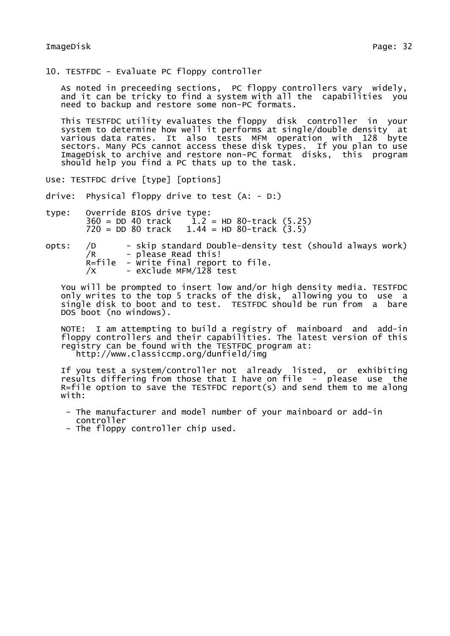10. TESTFDC - Evaluate PC floppy controller

As noted in preceeding sections, PC floppy controllers vary widely, and it can be tricky to find a system with all the capabilities you need to backup and restore some non-PC formats.

This TESTFDC utility evaluates the floppy disk controller in your system to determine how well it performs at single/double density at various data rates. It also tests MFM operation with 128 byte sectors. Many PCs cannot access these disk types. If you plan to use ImageDisk to archive and restore non-PC format disks, this program should help you find a PC thats up to the task.

Use: TESTFDC drive [type] [options]

drive: Physical floppy drive to test (A: - D:)

type: Override BIOS drive type:<br>360 = DD 40 track 1.2  $1.2$  = HD 80-track (5.25)  $720 = DD 80$  track  $1.44 = HD 80$ -track  $(3.5)$ 

opts: /D - skip standard Double-density test (should always work)<br>/R - please Read this! - please Read this! R=file - Write final report to file.  $\overline{X}$  - exclude MFM/128 test

You will be prompted to insert low and/or high density media. TESTFDC only writes to the top 5 tracks of the disk, allowing you to use a single disk to boot and to test. TESTFDC should be run from a bare DOS boot (no windows).

NOTE: I am attempting to build a registry of mainboard and add-in floppy controllers and their capabilities. The latest version of this registry can be found with the TESTFDC program at: http://www.classiccmp.org/dunfield/img

If you test a system/controller not already listed, or exhibiting results differing from those that I have on file - please use the  $R =$  file option to save the TESTFDC report(s) and send them to me along with:

- The manufacturer and model number of your mainboard or add-in controller
- The floppy controller chip used.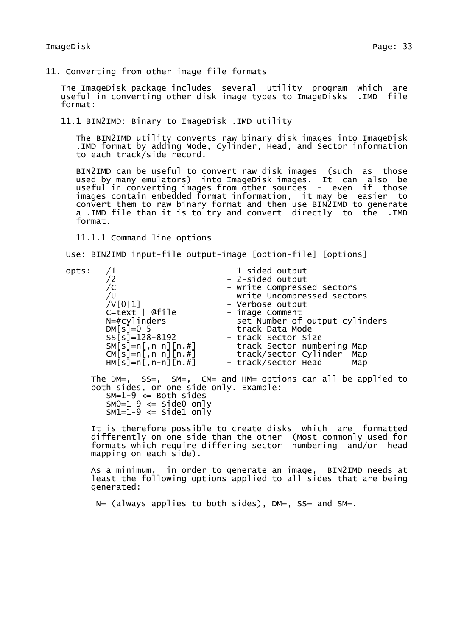11. Converting from other image file formats

The ImageDisk package includes several utility program which are useful in converting other disk image types to ImageDisks .IMD file format:

11.1 BIN2IMD: Binary to ImageDisk .IMD utility

The BIN2IMD utility converts raw binary disk images into ImageDisk .IMD format by adding Mode, Cylinder, Head, and Sector information to each track/side record.

BIN2IMD can be useful to convert raw disk images (such as those used by many emulators) into ImageDisk images. It can also be useful in converting images from other sources - even if those images contain embedded format information, it may be easier to convert them to raw binary format and then use BIN2IMD to generate a .IMD file than it is to try and convert directly to the .IMD format.

11.1.1 Command line options

Use: BIN2IMD input-file output-image [option-file] [options]

opts: /1 - 1-sided output<br>12 - 2-sided output - 2-sided output - 2-sided output /C - write Compressed sectors /U - write Uncompressed sectors /V[0|1] - Verbose output C=text | @file image Comment N=#cylinders - set Number of output cylinders DM[s]=0-5 - track Data Mode SS[s]=128-8192 - track Sector Size SM[s]=n[,n-n][n.#] - track Sector numbering Map CM[s]=n[,n-n][n.#] - track/sector Cylinder Map HM[s]=n[,n-n][n.#] - track/sector Head Map The DM=, SS=, SM=, CM= and HM= options can all be applied to both sides, or one side only. Example:  $SM=1-9 \leq Both$  sides  $SM0=1-9 \leq SL 5$  side 0 only  $SM1=1-9 \leq SL(10)$ 

It is therefore possible to create disks which are formatted differently on one side than the other (Most commonly used for formats which require differing sector numbering and/or head mapping on each side).

As a minimum, in order to generate an image, BIN2IMD needs at least the following options applied to all sides that are being generated:

N= (always applies to both sides), DM=, SS= and SM=.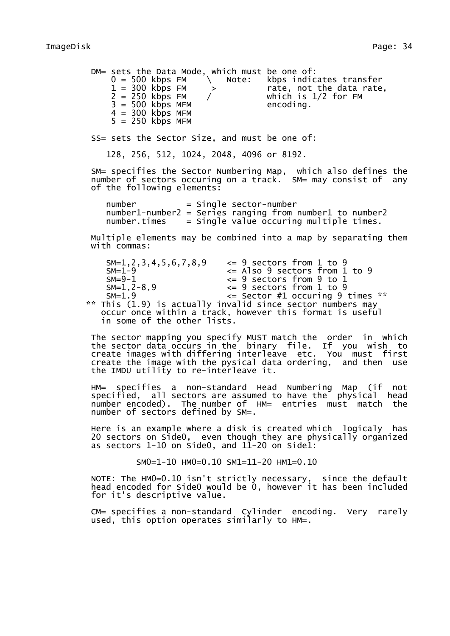DM= sets the Data Mode, which must be one of:<br> $0 = 500$  kbps FM  $\setminus$  Note: kbps indic.  $0 = 500$  kbps FM  $\searrow$  Note: kbps indicates transfer<br>1 = 300 kbps FM  $\searrow$  rate, not the data rate 1 = 300 kbps FM > rate, not the data rate, 2 = 250 kbps FM / which is 1/2 for FM  $3 = 500$  kbps MFM encoding.  $4 = 300$  kbps MFM  $5 = 250$  kbps MFM SS= sets the Sector Size, and must be one of: 128, 256, 512, 1024, 2048, 4096 or 8192. SM= specifies the Sector Numbering Map, which also defines the number of sectors occuring on a track. SM= may consist of any of the following elements:  $number = single sector-number$ number1-number2 = Series ranging from number1 to number2 number.times = Single value occuring multiple times. Multiple elements may be combined into a map by separating them with commas: SM=1,2,3,4,5,6,7,8,9 <= 9 sectors from 1 to 9  $SM=1-9$   $\leq$  Also 9 sectors from 1 to 9<br> $\leq$  9 sectors from 9 to 1  $\leq$  9 sectors from 9 to 1  $SM=1, 2-8, 9$   $\leq$  9 sectors from 1 to 9<br> $SM=1.9$   $\leq$  sector #1 occuring 9  $\leq$  Sector #1 occuring 9 times \*\* \*\* This (1.9) is actually invalid since sector numbers may occur once within a track, however this format is useful in some of the other lists. The sector mapping you specify MUST match the order in which the sector data occurs in the binary file. If you wish to create images with differing interleave etc. You must first create the image with the pysical data ordering, and then use the IMDU utility to re-interleave it. HM= specifies a non-standard Head Numbering Map (if not specified, all sectors are assumed to have the physical head number encoded). The number of HM= entries must match the number of sectors defined by SM=. Here is an example where a disk is created which logicaly has 20 sectors on Side0, even though they are physically organized as sectors 1-10 on Side0, and  $1\overline{1}$ -20 on Side1: SM0=1-10 HM0=0.10 SM1=11-20 HM1=0.10 NOTE: The HM0=0.10 isn't strictly necessary, since the default head encoded for Side0 would be 0, however it has been included for it's descriptive value.

CM= specifies a non-standard Cylinder encoding. Very rarely used, this option operates similarly to HM=.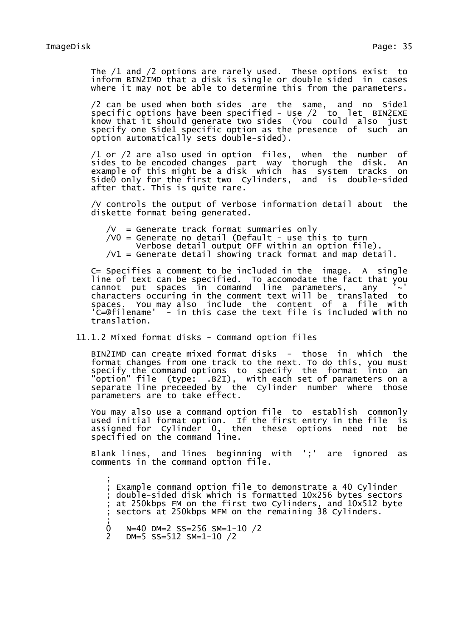The /1 and /2 options are rarely used. These options exist to inform BIN2IMD that a disk is single or double sided in cases where it may not be able to determine this from the parameters.

/2 can be used when both sides are the same, and no Side1 specific options have been specified - Use /2 to let BIN2EXE know that it should generate two sides (You could also just specify one Side1 specific option as the presence of such an option automatically sets double-sided).

/1 or /2 are also used in option files, when the number of sides to be encoded changes part way thorugh the disk. An example of this might be a disk which has system tracks on Side0 only for the first two Cylinders, and is double-sided after that. This is quite rare.

/V controls the output of Verbose information detail about the diskette format being generated.

 $/V =$  Generate track format summaries only

 $/V0$  = Generate no detail (Default - use this to turn

Verbose detail output OFF within an option file).

 $/V1$  = Generate detail showing track format and map detail.

C= Specifies a comment to be included in the image. A single line of text can be specified. To accomodate the fact that you cannot put spaces in comamnd line parameters, any characters occuring in the comment text will be translated to spaces. You may also include the content of a file with 'C=@filename' - in this case the text file is included with no translation.

11.1.2 Mixed format disks - Command option files

BIN2IMD can create mixed format disks - those in which the format changes from one track to the next. To do this, you must specify the command options to specify the format into an "option" file (type: .B2I), with each set of parameters on a separate line preceeded by the Cylinder number where those parameters are to take effect.

You may also use a command option file to establish commonly used initial format option. If the first entry in the file is assigned for Cylinder 0, then these options need not be specified on the command line.

Blank lines, and lines beginning with ';' are ignored as comments in the command option file.

; ; Example command option file to demonstrate a 40 Cylinder ; double-sided disk which is formatted 10x256 bytes sectors at 250kbps FM on the first two Cylinders, and 10x512 byte ; sectors at 250kbps MFM on the remaining 38 Cylinders.

; 0 N=40 DM=2 SS=256 SM=1-10 /2

<sup>2</sup> DM=5 SS=512 SM=1-10 /2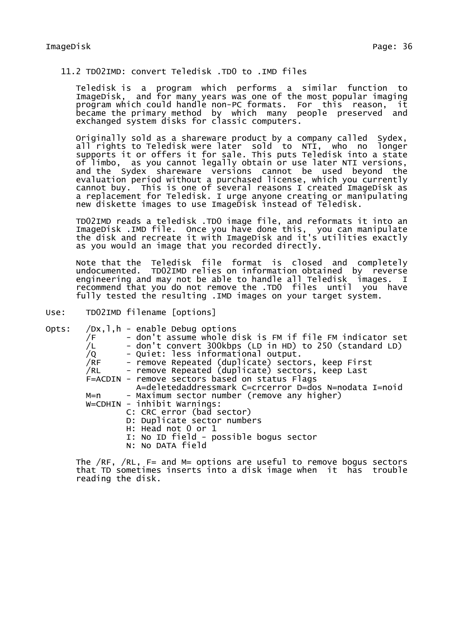# 11.2 TD02IMD: convert Teledisk .TD0 to .IMD files

Teledisk is a program which performs a similar function to ImageDisk, and for many years was one of the most popular imaging program which could handle non-PC formats. For this reason, it became the primary method by which many people preserved and exchanged system disks for classic computers.

Originally sold as a shareware product by a company called Sydex, all rights to Teledisk were later sold to NTI, who no longer supports it or offers it for sale. This puts Teledisk into a state of limbo, as you cannot legally obtain or use later NTI versions, and the Sydex shareware versions cannot be used beyond the evaluation period without a purchased license, which you currently cannot buy. This is one of several reasons I created ImageDisk as a replacement for Teledisk. I urge anyone creating or manipulating new diskette images to use ImageDisk instead of Teledisk.

TD02IMD reads a teledisk .TD0 image file, and reformats it into an ImageDisk .IMD file. Once you have done this, you can manipulate the disk and recreate it with ImageDisk and it's utilities exactly as you would an image that you recorded directly.

Note that the Teledisk file format is closed and completely undocumented. TD02IMD relies on information obtained by reverse engineering and may not be able to handle all Teledisk images. I recommend that you do not remove the .TD0 files until you have fully tested the resulting .IMD images on your target system.

Use: TD02IMD filename [options]

Opts: /Dx,l,h - enable Debug options  $\overline{f}$  /F  $\overline{f}$  - don't assume whole disk is FM if file FM indicator set<br>/L  $\overline{f}$  - don't convert 300kbps (LD in HD) to 250 (standard LD)  $(2)$  - don't convert 300kbps (LD in HD) to 250 (standard LD)<br>/Q - Quiet: less informational output. /Q - Quiet: less informational output. /RF - remove Repeated (duplicate) sectors, keep First /RL - remove Repeated (duplicate) sectors, keep Last F=ACDIN - remove sectors based on status Flags A=deletedaddressmark C=crcerror D=dos N=nodata I=noid M=n - Maximum sector number (remove any higher) W=CDHIN - inhibit Warnings: C: CRC error (bad sector) D: Duplicate sector numbers H: Head not 0 or 1 I: No ID field - possible bogus sector N: No DATA field

The /RF, /RL, F= and M= options are useful to remove bogus sectors that TD sometimes inserts into a disk image when it has trouble reading the disk.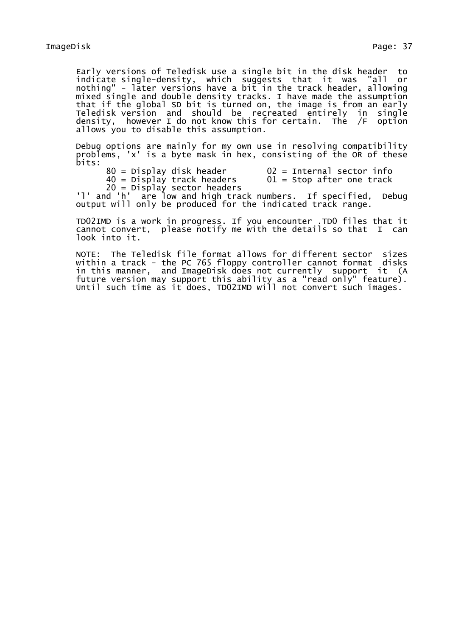Early versions of Teledisk use a single bit in the disk header to indicate single-density, which suggests that it was "all or nothing" - later versions have a bit in the track header, allowing mixed single and double density tracks. I have made the assumption that if the global SD bit is turned on, the image is from an early Teledisk version and should be recreated entirely in single density, however I do not know this for certain. The  $/F$  option allows you to disable this assumption.

Debug options are mainly for my own use in resolving compatibility problems, 'x' is a byte mask in hex, consisting of the OR of these bits:

 $80$  = Display disk header  $02$  = Internal sector info<br> $40$  = Display track headers  $01$  = Stop after one track  $40 =$  Display track headers 20 = Display sector headers

'l' and 'h' are low and high track numbers. If specified, Debug output will only be produced for the indicated track range.

TD02IMD is a work in progress. If you encounter .TD0 files that it cannot convert, please notify me with the details so that I can look into it.

NOTE: The Teledisk file format allows for different sector sizes within a track - the PC 765 floppy controller cannot format disks in this manner, and ImageDisk does not currently support it (A future version may support this ability as a "read only" feature). Until such time as it does, TD02IMD will not convert such images.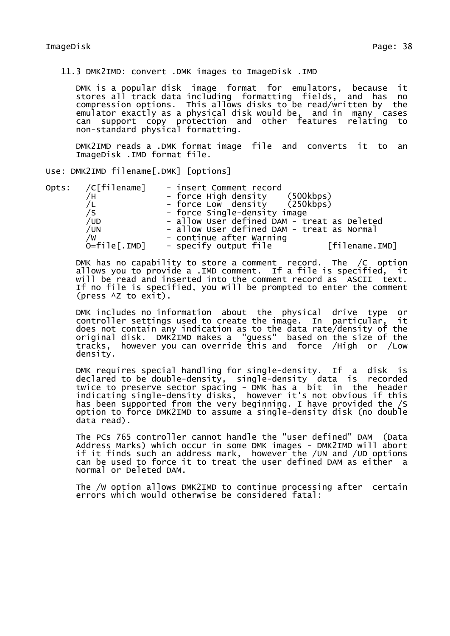11.3 DMK2IMD: convert .DMK images to ImageDisk .IMD

DMK is a popular disk image format for emulators, because it stores all track data including formatting fields, and has no compression options. This allows disks to be read/written by the emulator exactly as a physical disk would be, and in many cases can support copy protection and other features relating to non-standard physical formatting.

DMK2IMD reads a .DMK format image file and converts it to an ImageDisk .IMD format file.

Use: DMK2IMD filename[.DMK] [options]

| Opts: /C[filename]    | - insert Comment record                     |
|-----------------------|---------------------------------------------|
|                       | (500kbps)<br>- force High density           |
|                       | - force Low density (250kbps)               |
|                       | - force Single-density image                |
| /UD                   | - allow User defined DAM - treat as Deleted |
| /UN                   | - allow User defined DAM - treat as Normal  |
| /W                    | - continue after Warning                    |
| $O = filel$ . $IMD$ ] | - specify output file<br>[filename.IMD]     |

DMK has no capability to store a comment record. The /C option allows you to provide a .IMD comment. If a file is specified, it will be read and inserted into the comment record as ASCII text. If no file is specified, you will be prompted to enter the comment (press ^Z to exit).

DMK includes no information about the physical drive type or controller settings used to create the image. In particular, it does not contain any indication as to the data rate/density of the original disk. DMK2IMD makes a "guess" based on the size of the tracks, however you can override this and force /High or /Low density.

DMK requires special handling for single-density. If a disk is declared to be double-density, single-density data is recorded twice to preserve sector spacing - DMK has a bit in the header indicating single-density disks, however it's not obvious if this has been supported from the very beginning. I have provided the /S option to force DMK2IMD to assume a single-density disk (no double data read).

The PCs 765 controller cannot handle the "user defined" DAM (Data Address Marks) which occur in some DMK images - DMK2IMD will abort if it finds such an address mark, however the /UN and /UD options can be used to force it to treat the user defined DAM as either a Normal or Deleted DAM.

The /W option allows DMK2IMD to continue processing after certain errors which would otherwise be considered fatal: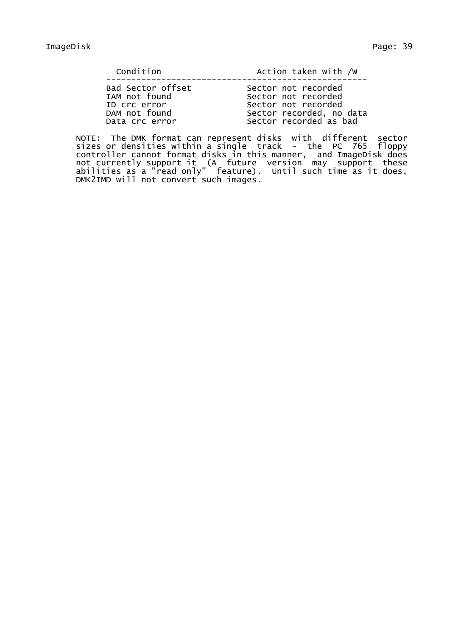| Condition         | Action taken with /w     |
|-------------------|--------------------------|
| Bad Sector offset | Sector not recorded      |
| IAM not found     | Sector not recorded      |
| ID Crc error      | Sector not recorded      |
| DAM not found     | Sector recorded, no data |

Data crc error Sector recorded as bad

NOTE: The DMK format can represent disks with different sector sizes or densities within a single track - the PC 765 floppy controller cannot format disks in this manner, and ImageDisk does not currently support it (A future version may support these abilities as a "read only" feature). Until such time as it does, DMK2IMD will not convert such images.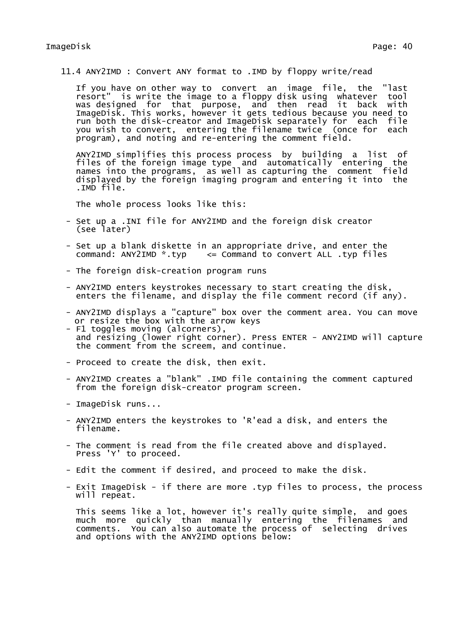11.4 ANY2IMD : Convert ANY format to .IMD by floppy write/read

If you have on other way to convert an image file, the "last resort" is write the image to a floppy disk using whatever tool was designed for that purpose, and then read it back with ImageDisk. This works, however it gets tedious because you need to run both the disk-creator and ImageDisk separately for each file you wish to convert, entering the filename twice (once for each program), and noting and re-entering the comment field.

ANY2IMD simplifies this process process by building a list of files of the foreign image type and automatically entering the names into the programs, as well as capturing the comment field displayed by the foreign imaging program and entering it into the .IMD file.

The whole process looks like this:

- Set up a .INI file for ANY2IMD and the foreign disk creator (see later)
- Set up a blank diskette in an appropriate drive, and enter the command:  $ANY2IMD * typ \leq Command to convert ALL .typ files$
- The foreign disk-creation program runs
- ANY2IMD enters keystrokes necessary to start creating the disk, enters the filename, and display the file comment record (if any).
- ANY2IMD displays a "capture" box over the comment area. You can move or resize the box with the arrow keys
- F1 toggles moving (alcorners), and resizing (lower right corner). Press ENTER - ANY2IMD will capture the comment from the screem, and continue.
- Proceed to create the disk, then exit.
- ANY2IMD creates a "blank" .IMD file containing the comment captured from the foreign disk-creator program screen.
- ImageDisk runs...
- ANY2IMD enters the keystrokes to 'R'ead a disk, and enters the filename.
- The comment is read from the file created above and displayed. Press 'Y' to proceed.
- Edit the comment if desired, and proceed to make the disk.
- Exit ImageDisk if there are more .typ files to process, the process will repeat.

This seems like a lot, however it's really quite simple, and goes much more quickly than manually entering the filenames and comments. You can also automate the process of selecting drives and options with the ANY2IMD options below: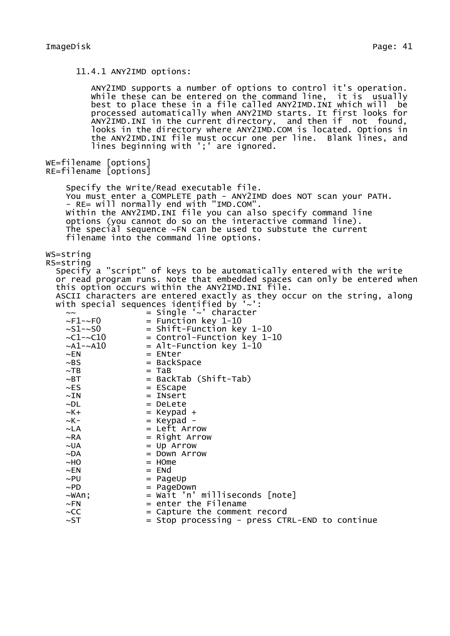11.4.1 ANY2IMD options:

ANY2IMD supports a number of options to control it's operation. while these can be entered on the command line, it is usually best to place these in a file called ANY2IMD.INI which will be processed automatically when ANY2IMD starts. It first looks for ANY2IMD.INI in the current directory, and then if not found, looks in the directory where ANY2IMD.COM is located. Options in the ANY2IMD.INI file must occur one per line. Blank lines, and lines beginning with ';' are ignored. WE=filename [options] RE=filename [options] Specify the Write/Read executable file. You must enter a COMPLETE path - ANY2IMD does NOT scan your PATH. - RE= will normally end with "IMD.COM". Within the ANY2IMD.INI file you can also specify command line options (you cannot do so on the interactive command line). The special sequence  $\sim$ FN can be used to substute the current filename into the command line options. WS=string RS=string Specify a "script" of keys to be automatically entered with the write or read program runs. Note that embedded spaces can only be entered when this option occurs within the ANY2IMD.INI file. ASCII characters are entered exactly as they occur on the string, along with special sequences identified by '~':  $~\sim$   $~\sim$   $~\sim$   $~\sim$   $~\sim$   $~\sim$   $~\sim$   $~\sim$   $~\sim$   $~\sim$   $~\sim$   $~\sim$   $~\sim$   $~\sim$   $~\sim$   $~\sim$   $~\sim$   $~\sim$   $~\sim$   $~\sim$   $~\sim$   $~\sim$   $~\sim$   $~\sim$   $~\sim$   $~\sim$   $~\sim$   $~\sim$   $~\sim$   $~\sim$   $~\sim$   $~\sim$   $~\sim$   $~\sim$   $~\sim$   $~\sim$   $~\sim$  $~\sim$ F1- $~\sim$ F0 = Function key 1-10<br> $~\sim$ S1- $~\sim$ S0 = Shift-Function ke  $~\sim$ S1- $\sim$ S0  $~$  = Shift-Function key 1-10<br> $~\sim$ C1- $\sim$ C10  $~$  = Control-Function key 1-1  $~\sim$ C1- $~\sim$ C10 = Control-Function key 1-10<br> $~\sim$ A1- $~\sim$ A10 = Alt-Function kev 1-10  $~\sim$ A1- $~\sim$ A10 = Alt-Function key 1-10<br> $~\sim$ EN = ENter  $~\sim$ EN = ENter<br> $~\sim$ BS = BackS  $~\sim$ BS = BackSpace<br> $~\sim$ TB = TaB  $~\sim$ TB = TaB<br> $~\sim$ BT = Bac = BackTab (Shift-Tab)  $\sim$ ES  $=$  EScape  $~\sim$ IN = INsert<br> $~\sim$ DL = DeLete  $=$  DeLete ~K+ = Keypad +  $~\sim$ K- $~\sim$ LA  $~\qquad~\qquad~\qquad~\qquad~\qquad~\simeq$  Left Arr  $=$  Left Arrow  $\sim$ RA  $=$  Right Arrow  $\sim$ UA  $=$  Up Arrow  $\sim$ DA  $=$  Down Arrow  $~\sim$ HO  $~\sim$  HOme  $~\sim$ EN = ENd<br> $~\sim$ PU = Page  $=$  PageUp  $\sim$ PD  $=$  PageDown  $\sim$ WAn:  $=$  Wait 'n' milliseconds [note]  $~\sim$ FN  $~\sim$   $~\sim$   $~\sim$  enter the Filename  $\sim$ CC  $=$  Capture the comment record  $\sim$ ST  $=$  Stop processing - press CTRL-END to continue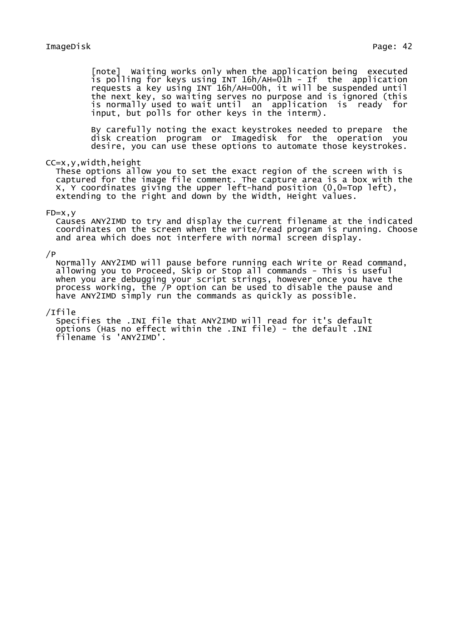[note] Waiting works only when the application being executed is polling for keys using INT 16h/AH=01h - If the application requests a key using INT 16h/AH=00h, it will be suspended until the next key, so waiting serves no purpose and is ignored (this is normally used to wait until an application is ready for input, but polls for other keys in the interm).

By carefully noting the exact keystrokes needed to prepare the disk creation program or Imagedisk for the operation you desire, you can use these options to automate those keystrokes.

### CC=x,y,width,height

These options allow you to set the exact region of the screen with is captured for the image file comment. The capture area is a box with the X, Y coordinates giving the upper left-hand position (0,0=Top left), extending to the right and down by the Width, Height values.

### $FD = X, V$

Causes ANY2IMD to try and display the current filename at the indicated coordinates on the screen when the write/read program is running. Choose and area which does not interfere with normal screen display.

### $/$ P

Normally ANY2IMD will pause before running each Write or Read command, allowing you to Proceed, Skip or Stop all commands - This is useful when you are debugging your script strings, however once you have the process working, the /P option can be used to disable the pause and have ANY2IMD simply run the commands as quickly as possible.

### /Ifile

Specifies the .INI file that ANY2IMD will read for it's default options (Has no effect within the .INI file) - the default .INI filename is 'ANY2IMD'.